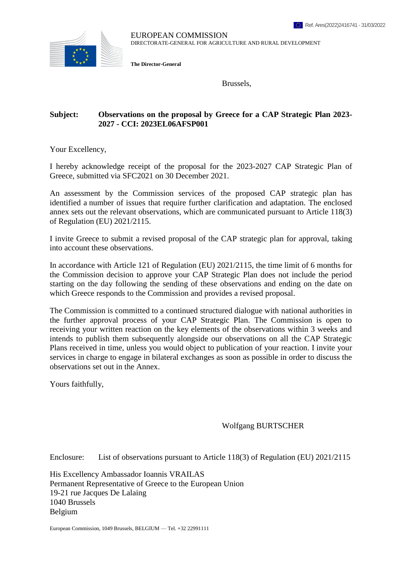

EUROPEAN COMMISSION DIRECTORATE-GENERAL FOR AGRICULTURE AND RURAL DEVELOPMENT

**The Director-General**

Brussels,

## **Subject: Observations on the proposal by Greece for a CAP Strategic Plan 2023- 2027 - CCI: 2023EL06AFSP001**

Your Excellency,

I hereby acknowledge receipt of the proposal for the 2023-2027 CAP Strategic Plan of Greece, submitted via SFC2021 on 30 December 2021.

An assessment by the Commission services of the proposed CAP strategic plan has identified a number of issues that require further clarification and adaptation. The enclosed annex sets out the relevant observations, which are communicated pursuant to Article 118(3) of Regulation (EU) 2021/2115.

I invite Greece to submit a revised proposal of the CAP strategic plan for approval, taking into account these observations.

In accordance with Article 121 of Regulation (EU) 2021/2115, the time limit of 6 months for the Commission decision to approve your CAP Strategic Plan does not include the period starting on the day following the sending of these observations and ending on the date on which Greece responds to the Commission and provides a revised proposal.

The Commission is committed to a continued structured dialogue with national authorities in the further approval process of your CAP Strategic Plan. The Commission is open to receiving your written reaction on the key elements of the observations within 3 weeks and intends to publish them subsequently alongside our observations on all the CAP Strategic Plans received in time, unless you would object to publication of your reaction. I invite your services in charge to engage in bilateral exchanges as soon as possible in order to discuss the observations set out in the Annex.

Yours faithfully,

Wolfgang BURTSCHER

Enclosure: List of observations pursuant to Article 118(3) of Regulation (EU) 2021/2115

His Excellency Ambassador Ioannis VRAILAS Permanent Representative of Greece to the European Union 19-21 rue Jacques De Lalaing 1040 Brussels Belgium

European Commission, 1049 Brussels, BELGIUM — Tel. +32 22991111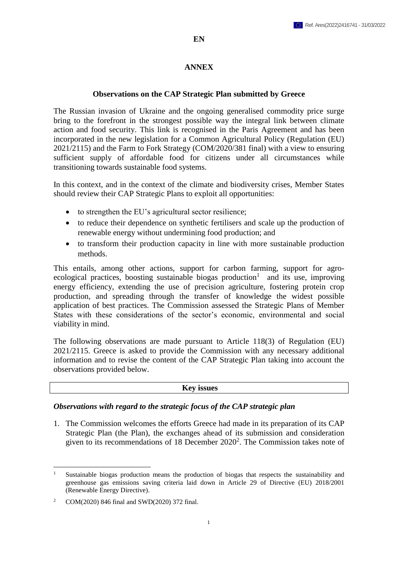#### **EN**

### **ANNEX**

#### **Observations on the CAP Strategic Plan submitted by Greece**

The Russian invasion of Ukraine and the ongoing generalised commodity price surge bring to the forefront in the strongest possible way the integral link between climate action and food security. This link is recognised in the Paris Agreement and has been incorporated in the new legislation for a Common Agricultural Policy (Regulation (EU) 2021/2115) and the Farm to Fork Strategy (COM/2020/381 final) with a view to ensuring sufficient supply of affordable food for citizens under all circumstances while transitioning towards sustainable food systems.

In this context, and in the context of the climate and biodiversity crises, Member States should review their CAP Strategic Plans to exploit all opportunities:

- to strengthen the EU's agricultural sector resilience;
- to reduce their dependence on synthetic fertilisers and scale up the production of renewable energy without undermining food production; and
- to transform their production capacity in line with more sustainable production methods.

This entails, among other actions, support for carbon farming, support for agroecological practices, boosting sustainable biogas production<sup>1</sup> and its use, improving energy efficiency, extending the use of precision agriculture, fostering protein crop production, and spreading through the transfer of knowledge the widest possible application of best practices. The Commission assessed the Strategic Plans of Member States with these considerations of the sector's economic, environmental and social viability in mind.

The following observations are made pursuant to Article 118(3) of Regulation (EU) 2021/2115. Greece is asked to provide the Commission with any necessary additional information and to revise the content of the CAP Strategic Plan taking into account the observations provided below.

**Key issues**

#### *Observations with regard to the strategic focus of the CAP strategic plan*

1. The Commission welcomes the efforts Greece had made in its preparation of its CAP Strategic Plan (the Plan), the exchanges ahead of its submission and consideration given to its recommendations of 18 December 2020<sup>2</sup>. The Commission takes note of

 $\overline{a}$ Sustainable biogas production means the production of biogas that respects the sustainability and greenhouse gas emissions saving criteria laid down in Article 29 of Directive (EU) 2018/2001 (Renewable Energy Directive).

<sup>2</sup> COM(2020) 846 final and SWD(2020) 372 final.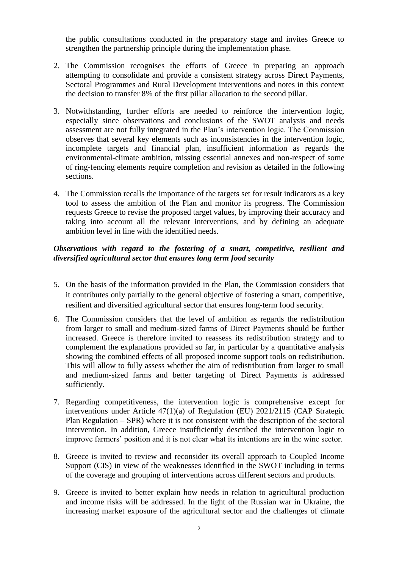the public consultations conducted in the preparatory stage and invites Greece to strengthen the partnership principle during the implementation phase.

- 2. The Commission recognises the efforts of Greece in preparing an approach attempting to consolidate and provide a consistent strategy across Direct Payments, Sectoral Programmes and Rural Development interventions and notes in this context the decision to transfer 8% of the first pillar allocation to the second pillar.
- 3. Notwithstanding, further efforts are needed to reinforce the intervention logic, especially since observations and conclusions of the SWOT analysis and needs assessment are not fully integrated in the Plan's intervention logic. The Commission observes that several key elements such as inconsistencies in the intervention logic, incomplete targets and financial plan, insufficient information as regards the environmental-climate ambition, missing essential annexes and non-respect of some of ring-fencing elements require completion and revision as detailed in the following sections.
- 4. The Commission recalls the importance of the targets set for result indicators as a key tool to assess the ambition of the Plan and monitor its progress. The Commission requests Greece to revise the proposed target values, by improving their accuracy and taking into account all the relevant interventions, and by defining an adequate ambition level in line with the identified needs.

## *Observations with regard to the fostering of a smart, competitive, resilient and diversified agricultural sector that ensures long term food security*

- 5. On the basis of the information provided in the Plan, the Commission considers that it contributes only partially to the general objective of fostering a smart, competitive, resilient and diversified agricultural sector that ensures long-term food security.
- 6. The Commission considers that the level of ambition as regards the redistribution from larger to small and medium-sized farms of Direct Payments should be further increased. Greece is therefore invited to reassess its redistribution strategy and to complement the explanations provided so far, in particular by a quantitative analysis showing the combined effects of all proposed income support tools on redistribution. This will allow to fully assess whether the aim of redistribution from larger to small and medium-sized farms and better targeting of Direct Payments is addressed sufficiently.
- 7. Regarding competitiveness, the intervention logic is comprehensive except for interventions under Article 47(1)(a) of Regulation (EU) 2021/2115 (CAP Strategic Plan Regulation – SPR) where it is not consistent with the description of the sectoral intervention. In addition, Greece insufficiently described the intervention logic to improve farmers' position and it is not clear what its intentions are in the wine sector.
- 8. Greece is invited to review and reconsider its overall approach to Coupled Income Support (CIS) in view of the weaknesses identified in the SWOT including in terms of the coverage and grouping of interventions across different sectors and products.
- 9. Greece is invited to better explain how needs in relation to agricultural production and income risks will be addressed. In the light of the Russian war in Ukraine, the increasing market exposure of the agricultural sector and the challenges of climate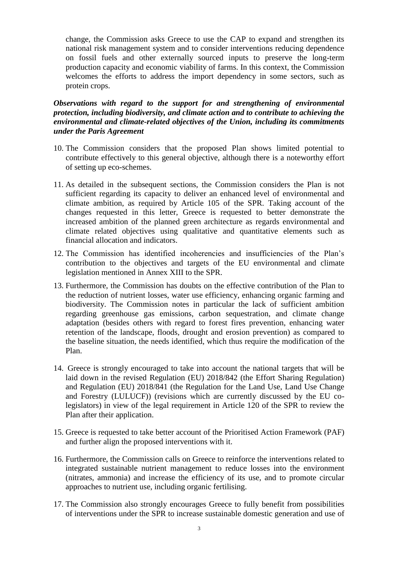change, the Commission asks Greece to use the CAP to expand and strengthen its national risk management system and to consider interventions reducing dependence on fossil fuels and other externally sourced inputs to preserve the long-term production capacity and economic viability of farms. In this context, the Commission welcomes the efforts to address the import dependency in some sectors, such as protein crops.

*Observations with regard to the support for and strengthening of environmental protection, including biodiversity, and climate action and to contribute to achieving the environmental and climate-related objectives of the Union, including its commitments under the Paris Agreement*

- 10. The Commission considers that the proposed Plan shows limited potential to contribute effectively to this general objective, although there is a noteworthy effort of setting up eco-schemes.
- 11. As detailed in the subsequent sections, the Commission considers the Plan is not sufficient regarding its capacity to deliver an enhanced level of environmental and climate ambition, as required by Article 105 of the SPR. Taking account of the changes requested in this letter, Greece is requested to better demonstrate the increased ambition of the planned green architecture as regards environmental and climate related objectives using qualitative and quantitative elements such as financial allocation and indicators.
- 12. The Commission has identified incoherencies and insufficiencies of the Plan's contribution to the objectives and targets of the EU environmental and climate legislation mentioned in Annex XIII to the SPR.
- 13. Furthermore, the Commission has doubts on the effective contribution of the Plan to the reduction of nutrient losses, water use efficiency, enhancing organic farming and biodiversity. The Commission notes in particular the lack of sufficient ambition regarding greenhouse gas emissions, carbon sequestration, and climate change adaptation (besides others with regard to forest fires prevention, enhancing water retention of the landscape, floods, drought and erosion prevention) as compared to the baseline situation, the needs identified, which thus require the modification of the Plan.
- 14. Greece is strongly encouraged to take into account the national targets that will be laid down in the revised Regulation (EU) 2018/842 (the Effort Sharing Regulation) and Regulation (EU) 2018/841 (the Regulation for the Land Use, Land Use Change and Forestry (LULUCF)) (revisions which are currently discussed by the EU colegislators) in view of the legal requirement in Article 120 of the SPR to review the Plan after their application.
- 15. Greece is requested to take better account of the Prioritised Action Framework (PAF) and further align the proposed interventions with it.
- 16. Furthermore, the Commission calls on Greece to reinforce the interventions related to integrated sustainable nutrient management to reduce losses into the environment (nitrates, ammonia) and increase the efficiency of its use, and to promote circular approaches to nutrient use, including organic fertilising.
- 17. The Commission also strongly encourages Greece to fully benefit from possibilities of interventions under the SPR to increase sustainable domestic generation and use of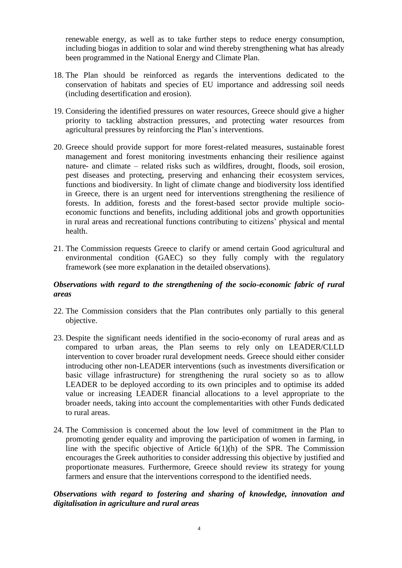renewable energy, as well as to take further steps to reduce energy consumption, including biogas in addition to solar and wind thereby strengthening what has already been programmed in the National Energy and Climate Plan.

- 18. The Plan should be reinforced as regards the interventions dedicated to the conservation of habitats and species of EU importance and addressing soil needs (including desertification and erosion).
- 19. Considering the identified pressures on water resources, Greece should give a higher priority to tackling abstraction pressures, and protecting water resources from agricultural pressures by reinforcing the Plan's interventions.
- 20. Greece should provide support for more forest-related measures, sustainable forest management and forest monitoring investments enhancing their resilience against nature- and climate – related risks such as wildfires, drought, floods, soil erosion, pest diseases and protecting, preserving and enhancing their ecosystem services, functions and biodiversity. In light of climate change and biodiversity loss identified in Greece, there is an urgent need for interventions strengthening the resilience of forests. In addition, forests and the forest-based sector provide multiple socioeconomic functions and benefits, including additional jobs and growth opportunities in rural areas and recreational functions contributing to citizens' physical and mental health.
- 21. The Commission requests Greece to clarify or amend certain Good agricultural and environmental condition (GAEC) so they fully comply with the regulatory framework (see more explanation in the detailed observations).

## *Observations with regard to the strengthening of the socio-economic fabric of rural areas*

- 22. The Commission considers that the Plan contributes only partially to this general objective.
- 23. Despite the significant needs identified in the socio-economy of rural areas and as compared to urban areas, the Plan seems to rely only on LEADER/CLLD intervention to cover broader rural development needs. Greece should either consider introducing other non-LEADER interventions (such as investments diversification or basic village infrastructure) for strengthening the rural society so as to allow LEADER to be deployed according to its own principles and to optimise its added value or increasing LEADER financial allocations to a level appropriate to the broader needs, taking into account the complementarities with other Funds dedicated to rural areas.
- 24. The Commission is concerned about the low level of commitment in the Plan to promoting gender equality and improving the participation of women in farming, in line with the specific objective of Article  $6(1)(h)$  of the SPR. The Commission encourages the Greek authorities to consider addressing this objective by justified and proportionate measures. Furthermore, Greece should review its strategy for young farmers and ensure that the interventions correspond to the identified needs.

## *Observations with regard to fostering and sharing of knowledge, innovation and digitalisation in agriculture and rural areas*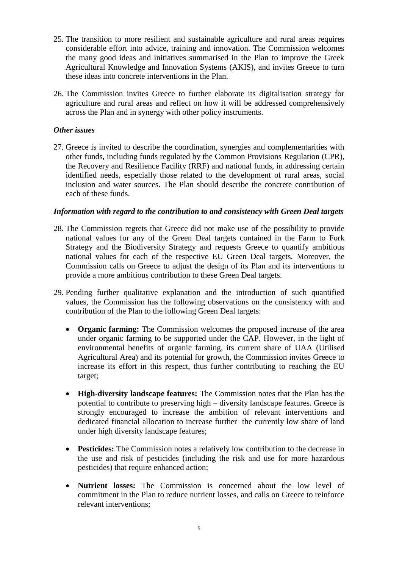- 25. The transition to more resilient and sustainable agriculture and rural areas requires considerable effort into advice, training and innovation. The Commission welcomes the many good ideas and initiatives summarised in the Plan to improve the Greek Agricultural Knowledge and Innovation Systems (AKIS), and invites Greece to turn these ideas into concrete interventions in the Plan.
- 26. The Commission invites Greece to further elaborate its digitalisation strategy for agriculture and rural areas and reflect on how it will be addressed comprehensively across the Plan and in synergy with other policy instruments.

## *Other issues*

27. Greece is invited to describe the coordination, synergies and complementarities with other funds, including funds regulated by the Common Provisions Regulation (CPR), the Recovery and Resilience Facility (RRF) and national funds, in addressing certain identified needs, especially those related to the development of rural areas, social inclusion and water sources. The Plan should describe the concrete contribution of each of these funds.

## *Information with regard to the contribution to and consistency with Green Deal targets*

- 28. The Commission regrets that Greece did not make use of the possibility to provide national values for any of the Green Deal targets contained in the Farm to Fork Strategy and the Biodiversity Strategy and requests Greece to quantify ambitious national values for each of the respective EU Green Deal targets. Moreover, the Commission calls on Greece to adjust the design of its Plan and its interventions to provide a more ambitious contribution to these Green Deal targets.
- 29. Pending further qualitative explanation and the introduction of such quantified values, the Commission has the following observations on the consistency with and contribution of the Plan to the following Green Deal targets:
	- **Organic farming:** The Commission welcomes the proposed increase of the area under organic farming to be supported under the CAP. However, in the light of environmental benefits of organic farming, its current share of UAA (Utilised Agricultural Area) and its potential for growth, the Commission invites Greece to increase its effort in this respect, thus further contributing to reaching the EU target;
	- **High-diversity landscape features:** The Commission notes that the Plan has the potential to contribute to preserving high – diversity landscape features. Greece is strongly encouraged to increase the ambition of relevant interventions and dedicated financial allocation to increase further the currently low share of land under high diversity landscape features;
	- **Pesticides:** The Commission notes a relatively low contribution to the decrease in the use and risk of pesticides (including the risk and use for more hazardous pesticides) that require enhanced action;
	- **Nutrient losses:** The Commission is concerned about the low level of commitment in the Plan to reduce nutrient losses, and calls on Greece to reinforce relevant interventions;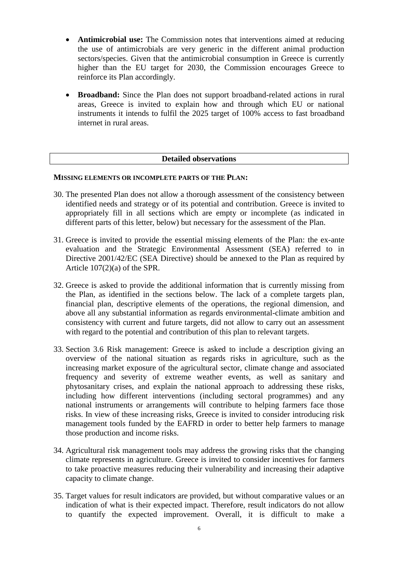- **Antimicrobial use:** The Commission notes that interventions aimed at reducing the use of antimicrobials are very generic in the different animal production sectors/species. Given that the antimicrobial consumption in Greece is currently higher than the EU target for 2030, the Commission encourages Greece to reinforce its Plan accordingly.
- **Broadband:** Since the Plan does not support broadband-related actions in rural areas, Greece is invited to explain how and through which EU or national instruments it intends to fulfil the 2025 target of 100% access to fast broadband internet in rural areas.

### **Detailed observations**

### **MISSING ELEMENTS OR INCOMPLETE PARTS OF THE PLAN:**

- 30. The presented Plan does not allow a thorough assessment of the consistency between identified needs and strategy or of its potential and contribution. Greece is invited to appropriately fill in all sections which are empty or incomplete (as indicated in different parts of this letter, below) but necessary for the assessment of the Plan.
- 31. Greece is invited to provide the essential missing elements of the Plan: the ex-ante evaluation and the Strategic Environmental Assessment (SEA) referred to in Directive 2001/42/EC (SEA Directive) should be annexed to the Plan as required by Article 107(2)(a) of the SPR.
- 32. Greece is asked to provide the additional information that is currently missing from the Plan, as identified in the sections below. The lack of a complete targets plan, financial plan, descriptive elements of the operations, the regional dimension, and above all any substantial information as regards environmental-climate ambition and consistency with current and future targets, did not allow to carry out an assessment with regard to the potential and contribution of this plan to relevant targets.
- 33. Section 3.6 Risk management: Greece is asked to include a description giving an overview of the national situation as regards risks in agriculture, such as the increasing market exposure of the agricultural sector, climate change and associated frequency and severity of extreme weather events, as well as sanitary and phytosanitary crises, and explain the national approach to addressing these risks, including how different interventions (including sectoral programmes) and any national instruments or arrangements will contribute to helping farmers face those risks. In view of these increasing risks, Greece is invited to consider introducing risk management tools funded by the EAFRD in order to better help farmers to manage those production and income risks.
- 34. Agricultural risk management tools may address the growing risks that the changing climate represents in agriculture. Greece is invited to consider incentives for farmers to take proactive measures reducing their vulnerability and increasing their adaptive capacity to climate change.
- 35. Target values for result indicators are provided, but without comparative values or an indication of what is their expected impact. Therefore, result indicators do not allow to quantify the expected improvement. Overall, it is difficult to make a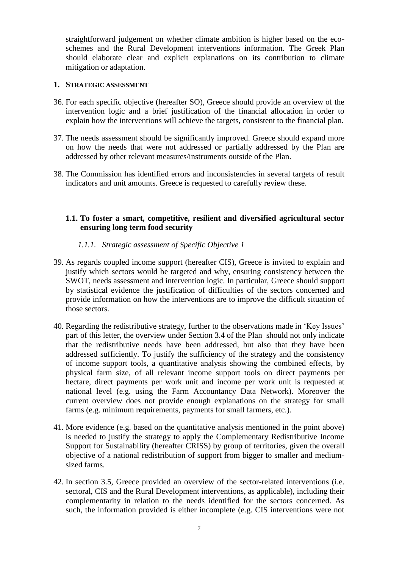straightforward judgement on whether climate ambition is higher based on the ecoschemes and the Rural Development interventions information. The Greek Plan should elaborate clear and explicit explanations on its contribution to climate mitigation or adaptation.

## **1. STRATEGIC ASSESSMENT**

- 36. For each specific objective (hereafter SO), Greece should provide an overview of the intervention logic and a brief justification of the financial allocation in order to explain how the interventions will achieve the targets, consistent to the financial plan.
- 37. The needs assessment should be significantly improved. Greece should expand more on how the needs that were not addressed or partially addressed by the Plan are addressed by other relevant measures/instruments outside of the Plan.
- 38. The Commission has identified errors and inconsistencies in several targets of result indicators and unit amounts. Greece is requested to carefully review these.

# **1.1. To foster a smart, competitive, resilient and diversified agricultural sector ensuring long term food security**

## *1.1.1. Strategic assessment of Specific Objective 1*

- 39. As regards coupled income support (hereafter CIS), Greece is invited to explain and justify which sectors would be targeted and why, ensuring consistency between the SWOT, needs assessment and intervention logic. In particular, Greece should support by statistical evidence the justification of difficulties of the sectors concerned and provide information on how the interventions are to improve the difficult situation of those sectors.
- 40. Regarding the redistributive strategy, further to the observations made in 'Key Issues' part of this letter, the overview under Section 3.4 of the Plan should not only indicate that the redistributive needs have been addressed, but also that they have been addressed sufficiently. To justify the sufficiency of the strategy and the consistency of income support tools, a quantitative analysis showing the combined effects, by physical farm size, of all relevant income support tools on direct payments per hectare, direct payments per work unit and income per work unit is requested at national level (e.g. using the Farm Accountancy Data Network). Moreover the current overview does not provide enough explanations on the strategy for small farms (e.g. minimum requirements, payments for small farmers, etc.).
- 41. More evidence (e.g. based on the quantitative analysis mentioned in the point above) is needed to justify the strategy to apply the Complementary Redistributive Income Support for Sustainability (hereafter CRISS) by group of territories, given the overall objective of a national redistribution of support from bigger to smaller and mediumsized farms.
- 42. In section 3.5, Greece provided an overview of the sector-related interventions (i.e. sectoral, CIS and the Rural Development interventions, as applicable), including their complementarity in relation to the needs identified for the sectors concerned. As such, the information provided is either incomplete (e.g. CIS interventions were not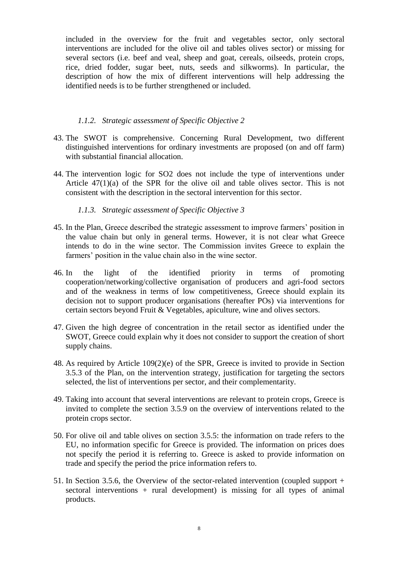included in the overview for the fruit and vegetables sector, only sectoral interventions are included for the olive oil and tables olives sector) or missing for several sectors (i.e. beef and veal, sheep and goat, cereals, oilseeds, protein crops, rice, dried fodder, sugar beet, nuts, seeds and silkworms). In particular, the description of how the mix of different interventions will help addressing the identified needs is to be further strengthened or included.

## *1.1.2. Strategic assessment of Specific Objective 2*

- 43. The SWOT is comprehensive. Concerning Rural Development, two different distinguished interventions for ordinary investments are proposed (on and off farm) with substantial financial allocation.
- 44. The intervention logic for SO2 does not include the type of interventions under Article  $47(1)(a)$  of the SPR for the olive oil and table olives sector. This is not consistent with the description in the sectoral intervention for this sector.

# *1.1.3. Strategic assessment of Specific Objective 3*

- 45. In the Plan, Greece described the strategic assessment to improve farmers' position in the value chain but only in general terms. However, it is not clear what Greece intends to do in the wine sector. The Commission invites Greece to explain the farmers' position in the value chain also in the wine sector.
- 46. In the light of the identified priority in terms of promoting cooperation/networking/collective organisation of producers and agri-food sectors and of the weakness in terms of low competitiveness, Greece should explain its decision not to support producer organisations (hereafter POs) via interventions for certain sectors beyond Fruit & Vegetables, apiculture, wine and olives sectors.
- 47. Given the high degree of concentration in the retail sector as identified under the SWOT, Greece could explain why it does not consider to support the creation of short supply chains.
- 48. As required by Article 109(2)(e) of the SPR, Greece is invited to provide in Section 3.5.3 of the Plan, on the intervention strategy, justification for targeting the sectors selected, the list of interventions per sector, and their complementarity.
- 49. Taking into account that several interventions are relevant to protein crops, Greece is invited to complete the section 3.5.9 on the overview of interventions related to the protein crops sector.
- 50. For olive oil and table olives on section 3.5.5: the information on trade refers to the EU, no information specific for Greece is provided. The information on prices does not specify the period it is referring to. Greece is asked to provide information on trade and specify the period the price information refers to.
- 51. In Section 3.5.6, the Overview of the sector-related intervention (coupled support + sectoral interventions + rural development) is missing for all types of animal products.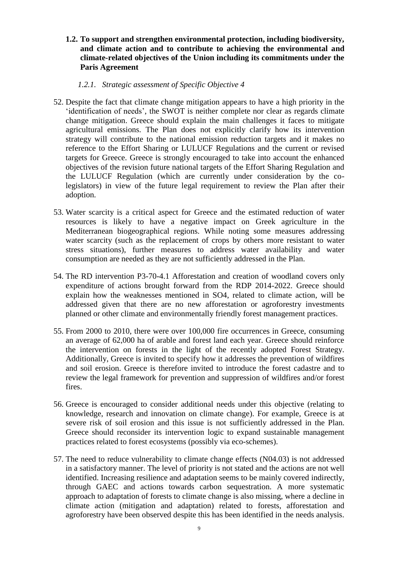**1.2. To support and strengthen environmental protection, including biodiversity, and climate action and to contribute to achieving the environmental and climate-related objectives of the Union including its commitments under the Paris Agreement**

## *1.2.1. Strategic assessment of Specific Objective 4*

- 52. Despite the fact that climate change mitigation appears to have a high priority in the 'identification of needs', the SWOT is neither complete nor clear as regards climate change mitigation. Greece should explain the main challenges it faces to mitigate agricultural emissions. The Plan does not explicitly clarify how its intervention strategy will contribute to the national emission reduction targets and it makes no reference to the Effort Sharing or LULUCF Regulations and the current or revised targets for Greece. Greece is strongly encouraged to take into account the enhanced objectives of the revision future national targets of the Effort Sharing Regulation and the LULUCF Regulation (which are currently under consideration by the colegislators) in view of the future legal requirement to review the Plan after their adoption.
- 53. Water scarcity is a critical aspect for Greece and the estimated reduction of water resources is likely to have a negative impact on Greek agriculture in the Mediterranean biogeographical regions. While noting some measures addressing water scarcity (such as the replacement of crops by others more resistant to water stress situations), further measures to address water availability and water consumption are needed as they are not sufficiently addressed in the Plan.
- 54. The RD intervention P3-70-4.1 Afforestation and creation of woodland covers only expenditure of actions brought forward from the RDP 2014-2022. Greece should explain how the weaknesses mentioned in SO4, related to climate action, will be addressed given that there are no new afforestation or agroforestry investments planned or other climate and environmentally friendly forest management practices.
- 55. From 2000 to 2010, there were over 100,000 fire occurrences in Greece, consuming an average of 62,000 ha of arable and forest land each year. Greece should reinforce the intervention on forests in the light of the recently adopted Forest Strategy. Additionally, Greece is invited to specify how it addresses the prevention of wildfires and soil erosion. Greece is therefore invited to introduce the forest cadastre and to review the legal framework for prevention and suppression of wildfires and/or forest fires.
- 56. Greece is encouraged to consider additional needs under this objective (relating to knowledge, research and innovation on climate change). For example, Greece is at severe risk of soil erosion and this issue is not sufficiently addressed in the Plan. Greece should reconsider its intervention logic to expand sustainable management practices related to forest ecosystems (possibly via eco-schemes).
- 57. The need to reduce vulnerability to climate change effects (N04.03) is not addressed in a satisfactory manner. The level of priority is not stated and the actions are not well identified. Increasing resilience and adaptation seems to be mainly covered indirectly, through GAEC and actions towards carbon sequestration. A more systematic approach to adaptation of forests to climate change is also missing, where a decline in climate action (mitigation and adaptation) related to forests, afforestation and agroforestry have been observed despite this has been identified in the needs analysis.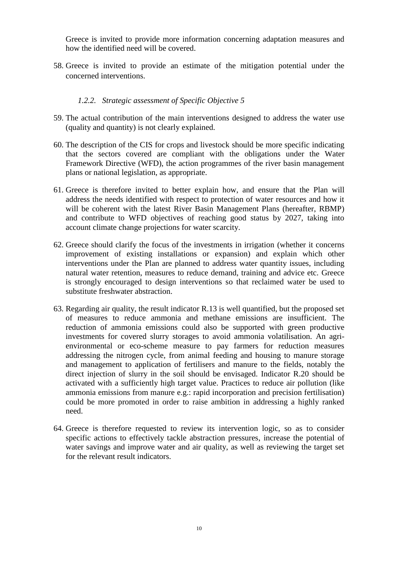Greece is invited to provide more information concerning adaptation measures and how the identified need will be covered.

58. Greece is invited to provide an estimate of the mitigation potential under the concerned interventions.

## *1.2.2. Strategic assessment of Specific Objective 5*

- 59. The actual contribution of the main interventions designed to address the water use (quality and quantity) is not clearly explained.
- 60. The description of the CIS for crops and livestock should be more specific indicating that the sectors covered are compliant with the obligations under the Water Framework Directive (WFD), the action programmes of the river basin management plans or national legislation, as appropriate.
- 61. Greece is therefore invited to better explain how, and ensure that the Plan will address the needs identified with respect to protection of water resources and how it will be coherent with the latest River Basin Management Plans (hereafter, RBMP) and contribute to WFD objectives of reaching good status by 2027, taking into account climate change projections for water scarcity.
- 62. Greece should clarify the focus of the investments in irrigation (whether it concerns improvement of existing installations or expansion) and explain which other interventions under the Plan are planned to address water quantity issues, including natural water retention, measures to reduce demand, training and advice etc. Greece is strongly encouraged to design interventions so that reclaimed water be used to substitute freshwater abstraction.
- 63. Regarding air quality, the result indicator R.13 is well quantified, but the proposed set of measures to reduce ammonia and methane emissions are insufficient. The reduction of ammonia emissions could also be supported with green productive investments for covered slurry storages to avoid ammonia volatilisation. An agrienvironmental or eco-scheme measure to pay farmers for reduction measures addressing the nitrogen cycle, from animal feeding and housing to manure storage and management to application of fertilisers and manure to the fields, notably the direct injection of slurry in the soil should be envisaged. Indicator R.20 should be activated with a sufficiently high target value. Practices to reduce air pollution (like ammonia emissions from manure e.g.: rapid incorporation and precision fertilisation) could be more promoted in order to raise ambition in addressing a highly ranked need.
- 64. Greece is therefore requested to review its intervention logic, so as to consider specific actions to effectively tackle abstraction pressures, increase the potential of water savings and improve water and air quality, as well as reviewing the target set for the relevant result indicators.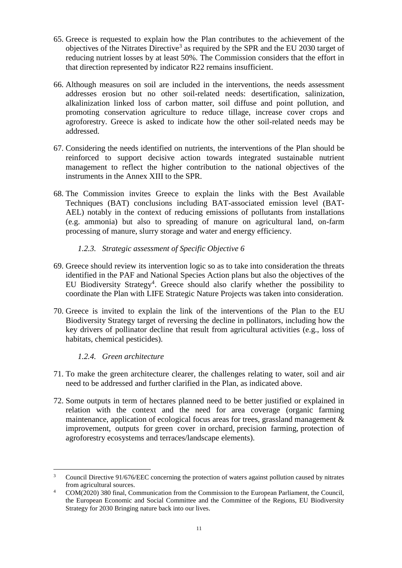- 65. Greece is requested to explain how the Plan contributes to the achievement of the objectives of the Nitrates Directive<sup>3</sup> as required by the SPR and the EU 2030 target of reducing nutrient losses by at least 50%. The Commission considers that the effort in that direction represented by indicator R22 remains insufficient.
- 66. Although measures on soil are included in the interventions, the needs assessment addresses erosion but no other soil-related needs: desertification, salinization, alkalinization linked loss of carbon matter, soil diffuse and point pollution, and promoting conservation agriculture to reduce tillage, increase cover crops and agroforestry. Greece is asked to indicate how the other soil-related needs may be addressed.
- 67. Considering the needs identified on nutrients, the interventions of the Plan should be reinforced to support decisive action towards integrated sustainable nutrient management to reflect the higher contribution to the national objectives of the instruments in the Annex XIII to the SPR.
- 68. The Commission invites Greece to explain the links with the Best Available Techniques (BAT) conclusions including BAT-associated emission level (BAT-AEL) notably in the context of reducing emissions of pollutants from installations (e.g. ammonia) but also to spreading of manure on agricultural land, on-farm processing of manure, slurry storage and water and energy efficiency.

## *1.2.3. Strategic assessment of Specific Objective 6*

- 69. Greece should review its intervention logic so as to take into consideration the threats identified in the PAF and National Species Action plans but also the objectives of the EU Biodiversity Strategy<sup>4</sup>. Greece should also clarify whether the possibility to coordinate the Plan with LIFE Strategic Nature Projects was taken into consideration.
- 70. Greece is invited to explain the link of the interventions of the Plan to the EU Biodiversity Strategy target of reversing the decline in pollinators, including how the key drivers of pollinator decline that result from agricultural activities (e.g., loss of habitats, chemical pesticides).

## *1.2.4. Green architecture*

- 71. To make the green architecture clearer, the challenges relating to water, soil and air need to be addressed and further clarified in the Plan, as indicated above.
- 72. Some outputs in term of hectares planned need to be better justified or explained in relation with the context and the need for area coverage (organic farming maintenance, application of ecological focus areas for trees, grassland management  $\&$ improvement, outputs for green cover in orchard, precision farming, protection of agroforestry ecosystems and terraces/landscape elements).

 $\overline{3}$ <sup>3</sup> Council Directive 91/676/EEC concerning the protection of waters against pollution caused by nitrates from agricultural sources.

<sup>&</sup>lt;sup>4</sup> COM(2020) 380 final, Communication from the Commission to the European Parliament, the Council, the European Economic and Social Committee and the Committee of the Regions, EU Biodiversity Strategy for 2030 Bringing nature back into our lives.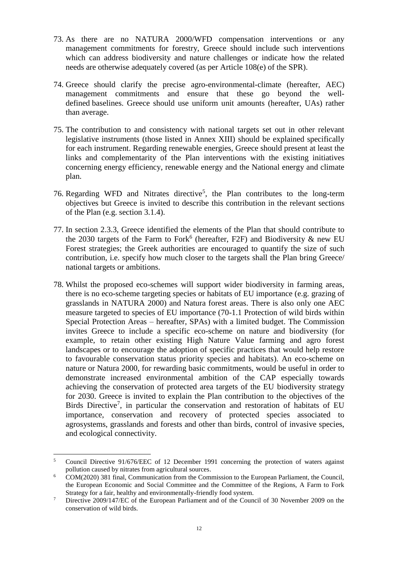- 73. As there are no NATURA 2000/WFD compensation interventions or any management commitments for forestry, Greece should include such interventions which can address biodiversity and nature challenges or indicate how the related needs are otherwise adequately covered (as per Article 108(e) of the SPR).
- 74. Greece should clarify the precise agro-environmental-climate (hereafter, AEC) management commitments and ensure that these go beyond the welldefined baselines. Greece should use uniform unit amounts (hereafter, UAs) rather than average.
- 75. The contribution to and consistency with national targets set out in other relevant legislative instruments (those listed in Annex XIII) should be explained specifically for each instrument. Regarding renewable energies, Greece should present at least the links and complementarity of the Plan interventions with the existing initiatives concerning energy efficiency, renewable energy and the National energy and climate plan.
- 76. Regarding WFD and Nitrates directive<sup>5</sup>, the Plan contributes to the long-term objectives but Greece is invited to describe this contribution in the relevant sections of the Plan (e.g. section 3.1.4).
- 77. In section 2.3.3, Greece identified the elements of the Plan that should contribute to the 2030 targets of the Farm to Fork<sup>6</sup> (hereafter, F2F) and Biodiversity  $\&$  new EU Forest strategies; the Greek authorities are encouraged to quantify the size of such contribution, i.e. specify how much closer to the targets shall the Plan bring Greece/ national targets or ambitions.
- 78. Whilst the proposed eco-schemes will support wider biodiversity in farming areas, there is no eco-scheme targeting species or habitats of EU importance (e.g. grazing of grasslands in NATURA 2000) and Natura forest areas. There is also only one AEC measure targeted to species of EU importance (70-1.1 Protection of wild birds within Special Protection Areas – hereafter, SPAs) with a limited budget. The Commission invites Greece to include a specific eco-scheme on nature and biodiversity (for example, to retain other existing High Nature Value farming and agro forest landscapes or to encourage the adoption of specific practices that would help restore to favourable conservation status priority species and habitats). An eco-scheme on nature or Natura 2000, for rewarding basic commitments, would be useful in order to demonstrate increased environmental ambition of the CAP especially towards achieving the conservation of protected area targets of the EU biodiversity strategy for 2030. Greece is invited to explain the Plan contribution to the objectives of the Birds Directive<sup>7</sup>, in particular the conservation and restoration of habitats of EU importance, conservation and recovery of protected species associated to agrosystems, grasslands and forests and other than birds, control of invasive species, and ecological connectivity.

 $\overline{a}$ 

<sup>5</sup> Council Directive 91/676/EEC of 12 December 1991 concerning the protection of waters against pollution caused by nitrates from agricultural sources.

<sup>6</sup> COM(2020) 381 final, Communication from the Commission to the European Parliament, the Council, the European Economic and Social Committee and the Committee of the Regions, A Farm to Fork Strategy for a fair, healthy and environmentally-friendly food system.

<sup>&</sup>lt;sup>7</sup> Directive 2009/147/EC of the European Parliament and of the Council of 30 November 2009 on the conservation of wild birds.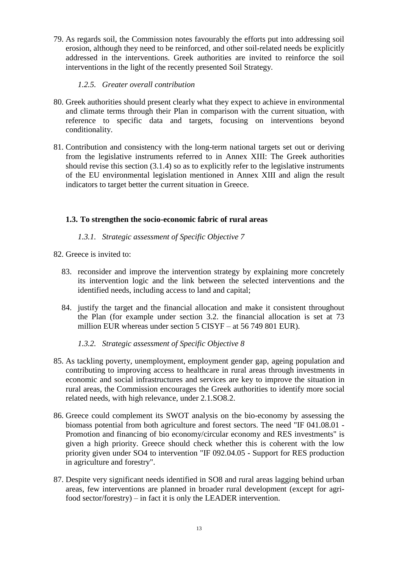79. As regards soil, the Commission notes favourably the efforts put into addressing soil erosion, although they need to be reinforced, and other soil-related needs be explicitly addressed in the interventions. Greek authorities are invited to reinforce the soil interventions in the light of the recently presented Soil Strategy.

# *1.2.5. Greater overall contribution*

- 80. Greek authorities should present clearly what they expect to achieve in environmental and climate terms through their Plan in comparison with the current situation, with reference to specific data and targets, focusing on interventions beyond conditionality.
- 81. Contribution and consistency with the long-term national targets set out or deriving from the legislative instruments referred to in Annex XIII: The Greek authorities should revise this section (3.1.4) so as to explicitly refer to the legislative instruments of the EU environmental legislation mentioned in Annex XIII and align the result indicators to target better the current situation in Greece.

## **1.3. To strengthen the socio-economic fabric of rural areas**

## *1.3.1. Strategic assessment of Specific Objective 7*

- 82. Greece is invited to:
	- 83. reconsider and improve the intervention strategy by explaining more concretely its intervention logic and the link between the selected interventions and the identified needs, including access to land and capital;
	- 84. justify the target and the financial allocation and make it consistent throughout the Plan (for example under section 3.2. the financial allocation is set at 73 million EUR whereas under section 5 CISYF – at 56 749 801 EUR).

# *1.3.2. Strategic assessment of Specific Objective 8*

- 85. As tackling poverty, unemployment, employment gender gap, ageing population and contributing to improving access to healthcare in rural areas through investments in economic and social infrastructures and services are key to improve the situation in rural areas, the Commission encourages the Greek authorities to identify more social related needs, with high relevance, under 2.1.SO8.2.
- 86. Greece could complement its SWOT analysis on the bio-economy by assessing the biomass potential from both agriculture and forest sectors. The need "IF 041.08.01 - Promotion and financing of bio economy/circular economy and RES investments" is given a high priority. Greece should check whether this is coherent with the low priority given under SO4 to intervention "IF 092.04.05 - Support for RES production in agriculture and forestry".
- 87. Despite very significant needs identified in SO8 and rural areas lagging behind urban areas, few interventions are planned in broader rural development (except for agrifood sector/forestry) – in fact it is only the LEADER intervention.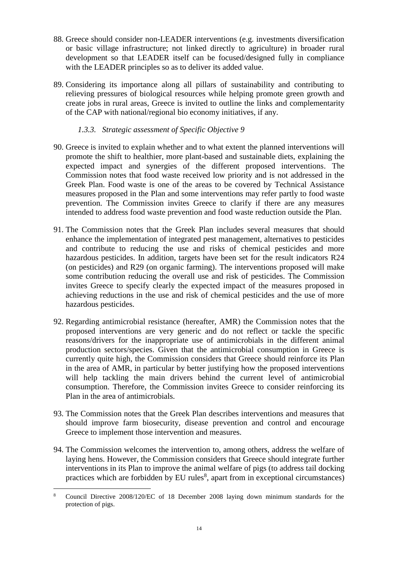- 88. Greece should consider non-LEADER interventions (e.g. investments diversification or basic village infrastructure; not linked directly to agriculture) in broader rural development so that LEADER itself can be focused/designed fully in compliance with the LEADER principles so as to deliver its added value.
- 89. Considering its importance along all pillars of sustainability and contributing to relieving pressures of biological resources while helping promote green growth and create jobs in rural areas, Greece is invited to outline the links and complementarity of the CAP with national/regional bio economy initiatives, if any.

# *1.3.3. Strategic assessment of Specific Objective 9*

- 90. Greece is invited to explain whether and to what extent the planned interventions will promote the shift to healthier, more plant-based and sustainable diets, explaining the expected impact and synergies of the different proposed interventions. The Commission notes that food waste received low priority and is not addressed in the Greek Plan. Food waste is one of the areas to be covered by Technical Assistance measures proposed in the Plan and some interventions may refer partly to food waste prevention. The Commission invites Greece to clarify if there are any measures intended to address food waste prevention and food waste reduction outside the Plan.
- 91. The Commission notes that the Greek Plan includes several measures that should enhance the implementation of integrated pest management, alternatives to pesticides and contribute to reducing the use and risks of chemical pesticides and more hazardous pesticides. In addition, targets have been set for the result indicators R24 (on pesticides) and R29 (on organic farming). The interventions proposed will make some contribution reducing the overall use and risk of pesticides. The Commission invites Greece to specify clearly the expected impact of the measures proposed in achieving reductions in the use and risk of chemical pesticides and the use of more hazardous pesticides.
- 92. Regarding antimicrobial resistance (hereafter, AMR) the Commission notes that the proposed interventions are very generic and do not reflect or tackle the specific reasons/drivers for the inappropriate use of antimicrobials in the different animal production sectors/species. Given that the antimicrobial consumption in Greece is currently quite high, the Commission considers that Greece should reinforce its Plan in the area of AMR, in particular by better justifying how the proposed interventions will help tackling the main drivers behind the current level of antimicrobial consumption. Therefore, the Commission invites Greece to consider reinforcing its Plan in the area of antimicrobials.
- 93. The Commission notes that the Greek Plan describes interventions and measures that should improve farm biosecurity, disease prevention and control and encourage Greece to implement those intervention and measures.
- 94. The Commission welcomes the intervention to, among others, address the welfare of laying hens. However, the Commission considers that Greece should integrate further interventions in its Plan to improve the animal welfare of pigs (to address tail docking practices which are forbidden by EU rules<sup>8</sup>, apart from in exceptional circumstances)

 $\overline{a}$ <sup>8</sup> Council Directive 2008/120/EC of 18 December 2008 laying down minimum standards for the protection of pigs.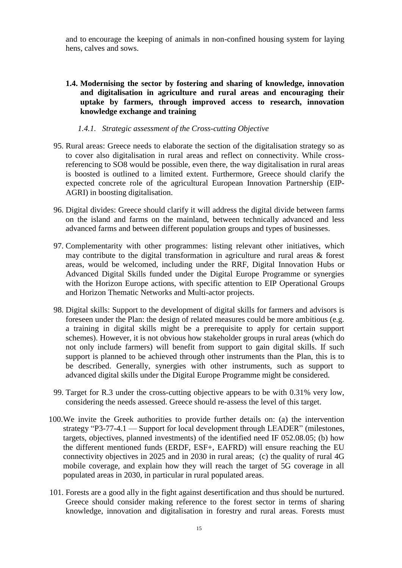and to encourage the keeping of animals in non-confined housing system for laying hens, calves and sows.

**1.4. Modernising the sector by fostering and sharing of knowledge, innovation and digitalisation in agriculture and rural areas and encouraging their uptake by farmers, through improved access to research, innovation knowledge exchange and training**

#### *1.4.1. Strategic assessment of the Cross-cutting Objective*

- 95. Rural areas: Greece needs to elaborate the section of the digitalisation strategy so as to cover also digitalisation in rural areas and reflect on connectivity. While crossreferencing to SO8 would be possible, even there, the way digitalisation in rural areas is boosted is outlined to a limited extent. Furthermore, Greece should clarify the expected concrete role of the agricultural European Innovation Partnership (EIP-AGRI) in boosting digitalisation.
- 96. Digital divides: Greece should clarify it will address the digital divide between farms on the island and farms on the mainland, between technically advanced and less advanced farms and between different population groups and types of businesses.
- 97. Complementarity with other programmes: listing relevant other initiatives, which may contribute to the digital transformation in agriculture and rural areas & forest areas, would be welcomed, including under the RRF, Digital Innovation Hubs or Advanced Digital Skills funded under the Digital Europe Programme or synergies with the Horizon Europe actions, with specific attention to EIP Operational Groups and Horizon Thematic Networks and Multi-actor projects.
- 98. Digital skills: Support to the development of digital skills for farmers and advisors is foreseen under the Plan: the design of related measures could be more ambitious (e.g. a training in digital skills might be a prerequisite to apply for certain support schemes). However, it is not obvious how stakeholder groups in rural areas (which do not only include farmers) will benefit from support to gain digital skills. If such support is planned to be achieved through other instruments than the Plan, this is to be described. Generally, synergies with other instruments, such as support to advanced digital skills under the Digital Europe Programme might be considered.
- 99. Target for R.3 under the cross-cutting objective appears to be with 0.31% very low, considering the needs assessed. Greece should re-assess the level of this target.
- 100.We invite the Greek authorities to provide further details on: (a) the intervention strategy "P3-77-4.1 — Support for local development through LEADER" (milestones, targets, objectives, planned investments) of the identified need IF 052.08.05; (b) how the different mentioned funds (ERDF, ESF+, EAFRD) will ensure reaching the EU connectivity objectives in 2025 and in 2030 in rural areas; (c) the quality of rural 4G mobile coverage, and explain how they will reach the target of 5G coverage in all populated areas in 2030, in particular in rural populated areas.
- 101. Forests are a good ally in the fight against desertification and thus should be nurtured. Greece should consider making reference to the forest sector in terms of sharing knowledge, innovation and digitalisation in forestry and rural areas. Forests must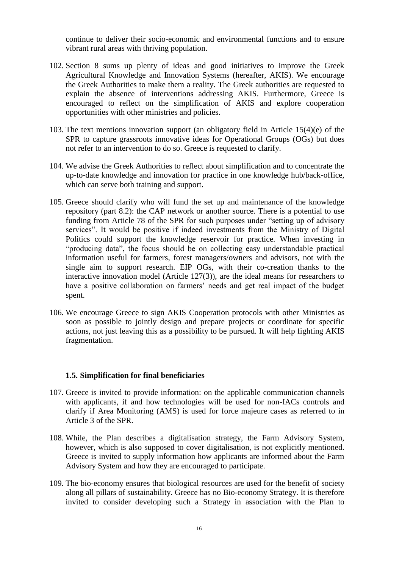continue to deliver their socio-economic and environmental functions and to ensure vibrant rural areas with thriving population.

- 102. Section 8 sums up plenty of ideas and good initiatives to improve the Greek Agricultural Knowledge and Innovation Systems (hereafter, AKIS). We encourage the Greek Authorities to make them a reality. The Greek authorities are requested to explain the absence of interventions addressing AKIS. Furthermore, Greece is encouraged to reflect on the simplification of AKIS and explore cooperation opportunities with other ministries and policies.
- 103. The text mentions innovation support (an obligatory field in Article 15(4)(e) of the SPR to capture grassroots innovative ideas for Operational Groups (OGs) but does not refer to an intervention to do so. Greece is requested to clarify.
- 104. We advise the Greek Authorities to reflect about simplification and to concentrate the up-to-date knowledge and innovation for practice in one knowledge hub/back-office, which can serve both training and support.
- 105. Greece should clarify who will fund the set up and maintenance of the knowledge repository (part 8.2): the CAP network or another source. There is a potential to use funding from Article 78 of the SPR for such purposes under "setting up of advisory services". It would be positive if indeed investments from the Ministry of Digital Politics could support the knowledge reservoir for practice. When investing in "producing data", the focus should be on collecting easy understandable practical information useful for farmers, forest managers/owners and advisors, not with the single aim to support research. EIP OGs, with their co-creation thanks to the interactive innovation model (Article 127(3)), are the ideal means for researchers to have a positive collaboration on farmers' needs and get real impact of the budget spent.
- 106. We encourage Greece to sign AKIS Cooperation protocols with other Ministries as soon as possible to jointly design and prepare projects or coordinate for specific actions, not just leaving this as a possibility to be pursued. It will help fighting AKIS fragmentation.

#### **1.5. Simplification for final beneficiaries**

- 107. Greece is invited to provide information: on the applicable communication channels with applicants, if and how technologies will be used for non-IACs controls and clarify if Area Monitoring (AMS) is used for force majeure cases as referred to in Article 3 of the SPR.
- 108. While, the Plan describes a digitalisation strategy, the Farm Advisory System, however, which is also supposed to cover digitalisation, is not explicitly mentioned. Greece is invited to supply information how applicants are informed about the Farm Advisory System and how they are encouraged to participate.
- 109. The bio-economy ensures that biological resources are used for the benefit of society along all pillars of sustainability. Greece has no Bio-economy Strategy. It is therefore invited to consider developing such a Strategy in association with the Plan to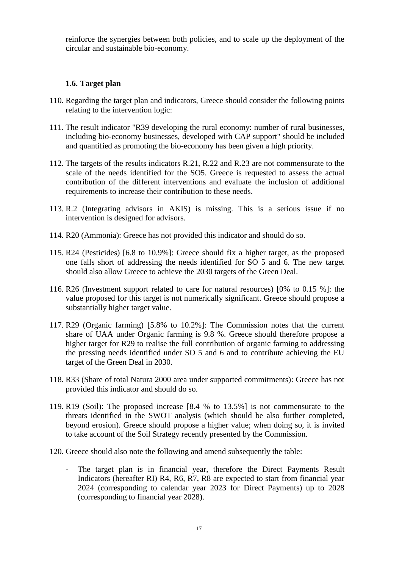reinforce the synergies between both policies, and to scale up the deployment of the circular and sustainable bio-economy.

## **1.6. Target plan**

- 110. Regarding the target plan and indicators, Greece should consider the following points relating to the intervention logic:
- 111. The result indicator "R39 developing the rural economy: number of rural businesses, including bio-economy businesses, developed with CAP support" should be included and quantified as promoting the bio-economy has been given a high priority.
- 112. The targets of the results indicators R.21, R.22 and R.23 are not commensurate to the scale of the needs identified for the SO5. Greece is requested to assess the actual contribution of the different interventions and evaluate the inclusion of additional requirements to increase their contribution to these needs.
- 113. R.2 (Integrating advisors in AKIS) is missing. This is a serious issue if no intervention is designed for advisors.
- 114. R20 (Ammonia): Greece has not provided this indicator and should do so.
- 115. R24 (Pesticides) [6.8 to 10.9%]: Greece should fix a higher target, as the proposed one falls short of addressing the needs identified for SO 5 and 6. The new target should also allow Greece to achieve the 2030 targets of the Green Deal.
- 116. R26 (Investment support related to care for natural resources) [0% to 0.15 %]: the value proposed for this target is not numerically significant. Greece should propose a substantially higher target value.
- 117. R29 (Organic farming) [5.8% to 10.2%]: The Commission notes that the current share of UAA under Organic farming is 9.8 %. Greece should therefore propose a higher target for R29 to realise the full contribution of organic farming to addressing the pressing needs identified under SO 5 and 6 and to contribute achieving the EU target of the Green Deal in 2030.
- 118. R33 (Share of total Natura 2000 area under supported commitments): Greece has not provided this indicator and should do so.
- 119. R19 (Soil): The proposed increase [8.4 % to 13.5%] is not commensurate to the threats identified in the SWOT analysis (which should be also further completed, beyond erosion). Greece should propose a higher value; when doing so, it is invited to take account of the Soil Strategy recently presented by the Commission.
- 120. Greece should also note the following and amend subsequently the table:
	- The target plan is in financial year, therefore the Direct Payments Result Indicators (hereafter RI) R4, R6, R7, R8 are expected to start from financial year 2024 (corresponding to calendar year 2023 for Direct Payments) up to 2028 (corresponding to financial year 2028).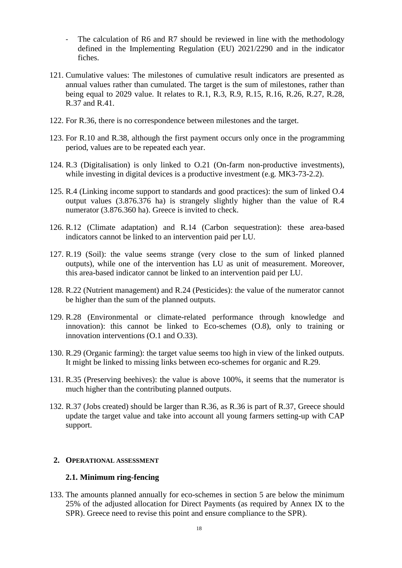- The calculation of R6 and R7 should be reviewed in line with the methodology defined in the Implementing Regulation (EU) 2021/2290 and in the indicator fiches.
- 121. Cumulative values: The milestones of cumulative result indicators are presented as annual values rather than cumulated. The target is the sum of milestones, rather than being equal to 2029 value. It relates to R.1, R.3, R.9, R.15, R.16, R.26, R.27, R.28, R.37 and R.41.
- 122. For R.36, there is no correspondence between milestones and the target.
- 123. For R.10 and R.38, although the first payment occurs only once in the programming period, values are to be repeated each year.
- 124. R.3 (Digitalisation) is only linked to O.21 (On-farm non-productive investments), while investing in digital devices is a productive investment (e.g. MK3-73-2.2).
- 125. R.4 (Linking income support to standards and good practices): the sum of linked O.4 output values (3.876.376 ha) is strangely slightly higher than the value of R.4 numerator (3.876.360 ha). Greece is invited to check.
- 126. R.12 (Climate adaptation) and R.14 (Carbon sequestration): these area-based indicators cannot be linked to an intervention paid per LU.
- 127. R.19 (Soil): the value seems strange (very close to the sum of linked planned outputs), while one of the intervention has LU as unit of measurement. Moreover, this area-based indicator cannot be linked to an intervention paid per LU.
- 128. R.22 (Nutrient management) and R.24 (Pesticides): the value of the numerator cannot be higher than the sum of the planned outputs.
- 129. R.28 (Environmental or climate-related performance through knowledge and innovation): this cannot be linked to Eco-schemes (O.8), only to training or innovation interventions (O.1 and O.33).
- 130. R.29 (Organic farming): the target value seems too high in view of the linked outputs. It might be linked to missing links between eco-schemes for organic and R.29.
- 131. R.35 (Preserving beehives): the value is above 100%, it seems that the numerator is much higher than the contributing planned outputs.
- 132. R.37 (Jobs created) should be larger than R.36, as R.36 is part of R.37, Greece should update the target value and take into account all young farmers setting-up with CAP support.

## **2. OPERATIONAL ASSESSMENT**

### **2.1. Minimum ring-fencing**

133. The amounts planned annually for eco-schemes in section 5 are below the minimum 25% of the adjusted allocation for Direct Payments (as required by Annex IX to the SPR). Greece need to revise this point and ensure compliance to the SPR).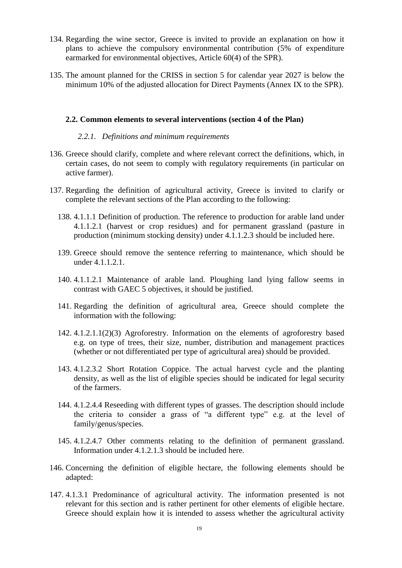- 134. Regarding the wine sector, Greece is invited to provide an explanation on how it plans to achieve the compulsory environmental contribution (5% of expenditure earmarked for environmental objectives, Article 60(4) of the SPR).
- 135. The amount planned for the CRISS in section 5 for calendar year 2027 is below the minimum 10% of the adjusted allocation for Direct Payments (Annex IX to the SPR).

### **2.2. Common elements to several interventions (section 4 of the Plan)**

## *2.2.1. Definitions and minimum requirements*

- 136. Greece should clarify, complete and where relevant correct the definitions, which, in certain cases, do not seem to comply with regulatory requirements (in particular on active farmer).
- 137. Regarding the definition of agricultural activity, Greece is invited to clarify or complete the relevant sections of the Plan according to the following:
	- 138. 4.1.1.1 Definition of production. The reference to production for arable land under 4.1.1.2.1 (harvest or crop residues) and for permanent grassland (pasture in production (minimum stocking density) under 4.1.1.2.3 should be included here.
	- 139. Greece should remove the sentence referring to maintenance, which should be under 4.1.1.2.1.
	- 140. 4.1.1.2.1 Maintenance of arable land. Ploughing land lying fallow seems in contrast with GAEC 5 objectives, it should be justified.
	- 141. Regarding the definition of agricultural area, Greece should complete the information with the following:
	- 142. 4.1.2.1.1(2)(3) Agroforestry. Information on the elements of agroforestry based e.g. on type of trees, their size, number, distribution and management practices (whether or not differentiated per type of agricultural area) should be provided.
	- 143. 4.1.2.3.2 Short Rotation Coppice. The actual harvest cycle and the planting density, as well as the list of eligible species should be indicated for legal security of the farmers.
	- 144. 4.1.2.4.4 Reseeding with different types of grasses. The description should include the criteria to consider a grass of "a different type" e.g. at the level of family/genus/species.
	- 145. 4.1.2.4.7 Other comments relating to the definition of permanent grassland. Information under 4.1.2.1.3 should be included here.
- 146. Concerning the definition of eligible hectare, the following elements should be adapted:
- 147. 4.1.3.1 Predominance of agricultural activity. The information presented is not relevant for this section and is rather pertinent for other elements of eligible hectare. Greece should explain how it is intended to assess whether the agricultural activity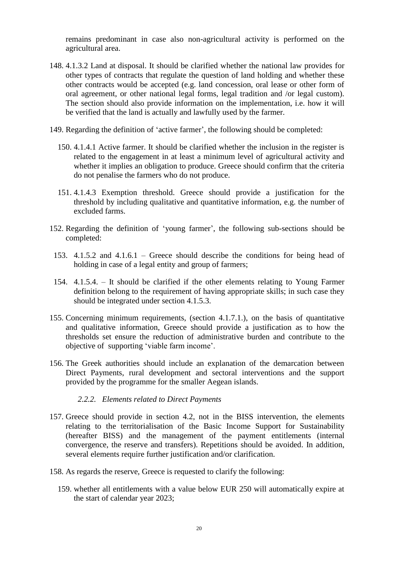remains predominant in case also non-agricultural activity is performed on the agricultural area.

- 148. 4.1.3.2 Land at disposal. It should be clarified whether the national law provides for other types of contracts that regulate the question of land holding and whether these other contracts would be accepted (e.g. land concession, oral lease or other form of oral agreement, or other national legal forms, legal tradition and /or legal custom). The section should also provide information on the implementation, i.e. how it will be verified that the land is actually and lawfully used by the farmer.
- 149. Regarding the definition of 'active farmer', the following should be completed:
	- 150. 4.1.4.1 Active farmer. It should be clarified whether the inclusion in the register is related to the engagement in at least a minimum level of agricultural activity and whether it implies an obligation to produce. Greece should confirm that the criteria do not penalise the farmers who do not produce.
	- 151. 4.1.4.3 Exemption threshold. Greece should provide a justification for the threshold by including qualitative and quantitative information, e.g. the number of excluded farms.
- 152. Regarding the definition of 'young farmer', the following sub-sections should be completed:
- 153. 4.1.5.2 and 4.1.6.1 Greece should describe the conditions for being head of holding in case of a legal entity and group of farmers;
- 154. 4.1.5.4. It should be clarified if the other elements relating to Young Farmer definition belong to the requirement of having appropriate skills; in such case they should be integrated under section 4.1.5.3.
- 155. Concerning minimum requirements, (section 4.1.7.1.), on the basis of quantitative and qualitative information, Greece should provide a justification as to how the thresholds set ensure the reduction of administrative burden and contribute to the objective of supporting 'viable farm income'.
- 156. The Greek authorities should include an explanation of the demarcation between Direct Payments, rural development and sectoral interventions and the support provided by the programme for the smaller Aegean islands.

#### *2.2.2. Elements related to Direct Payments*

- 157. Greece should provide in section 4.2, not in the BISS intervention, the elements relating to the territorialisation of the Basic Income Support for Sustainability (hereafter BISS) and the management of the payment entitlements (internal convergence, the reserve and transfers). Repetitions should be avoided. In addition, several elements require further justification and/or clarification.
- 158. As regards the reserve, Greece is requested to clarify the following:
	- 159. whether all entitlements with a value below EUR 250 will automatically expire at the start of calendar year 2023;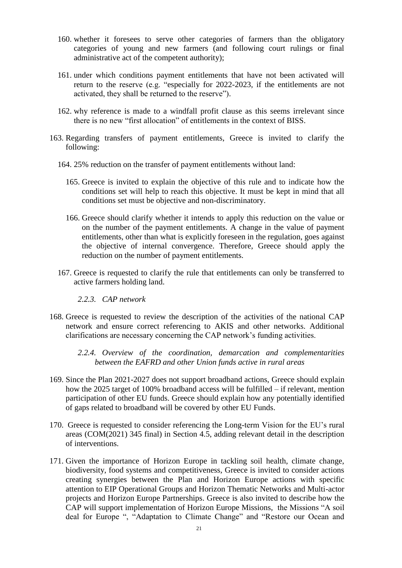- 160. whether it foresees to serve other categories of farmers than the obligatory categories of young and new farmers (and following court rulings or final administrative act of the competent authority);
- 161. under which conditions payment entitlements that have not been activated will return to the reserve (e.g. "especially for 2022-2023, if the entitlements are not activated, they shall be returned to the reserve").
- 162. why reference is made to a windfall profit clause as this seems irrelevant since there is no new "first allocation" of entitlements in the context of BISS.
- 163. Regarding transfers of payment entitlements, Greece is invited to clarify the following:
	- 164. 25% reduction on the transfer of payment entitlements without land:
		- 165. Greece is invited to explain the objective of this rule and to indicate how the conditions set will help to reach this objective. It must be kept in mind that all conditions set must be objective and non-discriminatory.
		- 166. Greece should clarify whether it intends to apply this reduction on the value or on the number of the payment entitlements. A change in the value of payment entitlements, other than what is explicitly foreseen in the regulation, goes against the objective of internal convergence. Therefore, Greece should apply the reduction on the number of payment entitlements.
	- 167. Greece is requested to clarify the rule that entitlements can only be transferred to active farmers holding land.
		- *2.2.3. CAP network*
- 168. Greece is requested to review the description of the activities of the national CAP network and ensure correct referencing to AKIS and other networks. Additional clarifications are necessary concerning the CAP network's funding activities.

*2.2.4. Overview of the coordination, demarcation and complementarities between the EAFRD and other Union funds active in rural areas*

- 169. Since the Plan 2021-2027 does not support broadband actions, Greece should explain how the 2025 target of 100% broadband access will be fulfilled – if relevant, mention participation of other EU funds. Greece should explain how any potentially identified of gaps related to broadband will be covered by other EU Funds.
- 170. Greece is requested to consider referencing the Long-term Vision for the EU's rural areas (COM(2021) 345 final) in Section 4.5, adding relevant detail in the description of interventions.
- 171. Given the importance of Horizon Europe in tackling soil health, climate change, biodiversity, food systems and competitiveness, Greece is invited to consider actions creating synergies between the Plan and Horizon Europe actions with specific attention to EIP Operational Groups and Horizon Thematic Networks and Multi-actor projects and Horizon Europe Partnerships. Greece is also invited to describe how the CAP will support implementation of Horizon Europe Missions, the Missions "A soil deal for Europe ", "Adaptation to Climate Change" and "Restore our Ocean and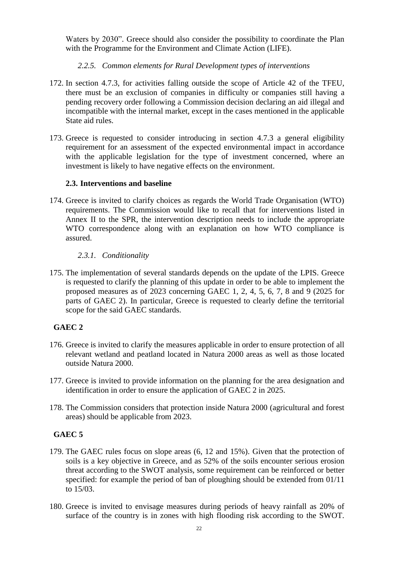Waters by 2030". Greece should also consider the possibility to coordinate the Plan with the Programme for the Environment and Climate Action (LIFE).

## *2.2.5. Common elements for Rural Development types of interventions*

- 172. In section 4.7.3, for activities falling outside the scope of Article 42 of the TFEU, there must be an exclusion of companies in difficulty or companies still having a pending recovery order following a Commission decision declaring an aid illegal and incompatible with the internal market, except in the cases mentioned in the applicable State aid rules.
- 173. Greece is requested to consider introducing in section 4.7.3 a general eligibility requirement for an assessment of the expected environmental impact in accordance with the applicable legislation for the type of investment concerned, where an investment is likely to have negative effects on the environment.

## **2.3. Interventions and baseline**

174. Greece is invited to clarify choices as regards the World Trade Organisation (WTO) requirements. The Commission would like to recall that for interventions listed in Annex II to the SPR, the intervention description needs to include the appropriate WTO correspondence along with an explanation on how WTO compliance is assured.

## *2.3.1. Conditionality*

175. The implementation of several standards depends on the update of the LPIS. Greece is requested to clarify the planning of this update in order to be able to implement the proposed measures as of 2023 concerning GAEC 1, 2, 4, 5, 6, 7, 8 and 9 (2025 for parts of GAEC 2). In particular, Greece is requested to clearly define the territorial scope for the said GAEC standards.

# **GAEC 2**

- 176. Greece is invited to clarify the measures applicable in order to ensure protection of all relevant wetland and peatland located in Natura 2000 areas as well as those located outside Natura 2000.
- 177. Greece is invited to provide information on the planning for the area designation and identification in order to ensure the application of GAEC 2 in 2025.
- 178. The Commission considers that protection inside Natura 2000 (agricultural and forest areas) should be applicable from 2023.

# **GAEC 5**

- 179. The GAEC rules focus on slope areas (6, 12 and 15%). Given that the protection of soils is a key objective in Greece, and as 52% of the soils encounter serious erosion threat according to the SWOT analysis, some requirement can be reinforced or better specified: for example the period of ban of ploughing should be extended from 01/11 to 15/03.
- 180. Greece is invited to envisage measures during periods of heavy rainfall as 20% of surface of the country is in zones with high flooding risk according to the SWOT.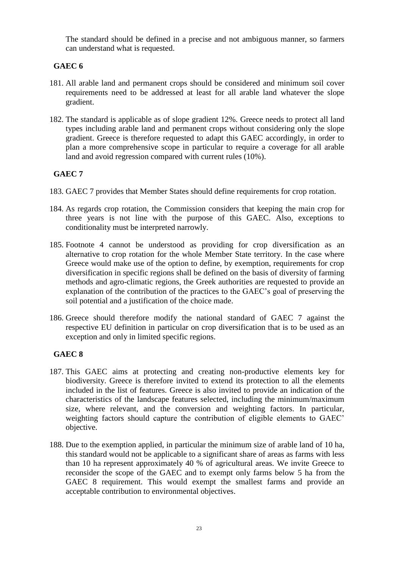The standard should be defined in a precise and not ambiguous manner, so farmers can understand what is requested.

# **GAEC 6**

- 181. All arable land and permanent crops should be considered and minimum soil cover requirements need to be addressed at least for all arable land whatever the slope gradient.
- 182. The standard is applicable as of slope gradient 12%. Greece needs to protect all land types including arable land and permanent crops without considering only the slope gradient. Greece is therefore requested to adapt this GAEC accordingly, in order to plan a more comprehensive scope in particular to require a coverage for all arable land and avoid regression compared with current rules (10%).

# **GAEC 7**

- 183. GAEC 7 provides that Member States should define requirements for crop rotation.
- 184. As regards crop rotation, the Commission considers that keeping the main crop for three years is not line with the purpose of this GAEC. Also, exceptions to conditionality must be interpreted narrowly.
- 185. Footnote 4 cannot be understood as providing for crop diversification as an alternative to crop rotation for the whole Member State territory. In the case where Greece would make use of the option to define, by exemption, requirements for crop diversification in specific regions shall be defined on the basis of diversity of farming methods and agro-climatic regions, the Greek authorities are requested to provide an explanation of the contribution of the practices to the GAEC's goal of preserving the soil potential and a justification of the choice made.
- 186. Greece should therefore modify the national standard of GAEC 7 against the respective EU definition in particular on crop diversification that is to be used as an exception and only in limited specific regions.

# **GAEC 8**

- 187. This GAEC aims at protecting and creating non-productive elements key for biodiversity. Greece is therefore invited to extend its protection to all the elements included in the list of features. Greece is also invited to provide an indication of the characteristics of the landscape features selected, including the minimum/maximum size, where relevant, and the conversion and weighting factors. In particular, weighting factors should capture the contribution of eligible elements to GAEC' objective.
- 188. Due to the exemption applied, in particular the minimum size of arable land of 10 ha, this standard would not be applicable to a significant share of areas as farms with less than 10 ha represent approximately 40 % of agricultural areas. We invite Greece to reconsider the scope of the GAEC and to exempt only farms below 5 ha from the GAEC 8 requirement. This would exempt the smallest farms and provide an acceptable contribution to environmental objectives.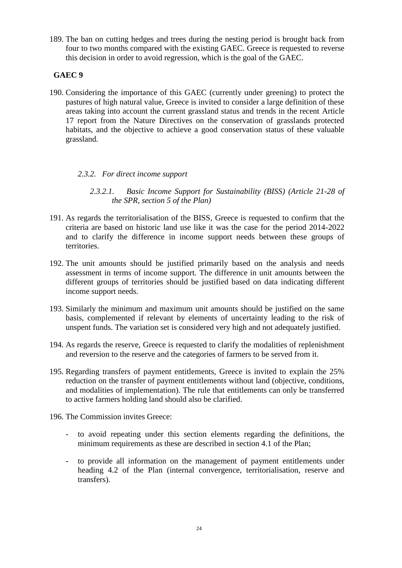189. The ban on cutting hedges and trees during the nesting period is brought back from four to two months compared with the existing GAEC. Greece is requested to reverse this decision in order to avoid regression, which is the goal of the GAEC.

## **GAEC 9**

190. Considering the importance of this GAEC (currently under greening) to protect the pastures of high natural value, Greece is invited to consider a large definition of these areas taking into account the current grassland status and trends in the recent Article 17 report from the Nature Directives on the conservation of grasslands protected habitats, and the objective to achieve a good conservation status of these valuable grassland.

## *2.3.2. For direct income support*

*2.3.2.1. Basic Income Support for Sustainability (BISS) (Article 21-28 of the SPR, section 5 of the Plan)*

- 191. As regards the territorialisation of the BISS, Greece is requested to confirm that the criteria are based on historic land use like it was the case for the period 2014-2022 and to clarify the difference in income support needs between these groups of territories.
- 192. The unit amounts should be justified primarily based on the analysis and needs assessment in terms of income support. The difference in unit amounts between the different groups of territories should be justified based on data indicating different income support needs.
- 193. Similarly the minimum and maximum unit amounts should be justified on the same basis, complemented if relevant by elements of uncertainty leading to the risk of unspent funds. The variation set is considered very high and not adequately justified.
- 194. As regards the reserve, Greece is requested to clarify the modalities of replenishment and reversion to the reserve and the categories of farmers to be served from it.
- 195. Regarding transfers of payment entitlements, Greece is invited to explain the 25% reduction on the transfer of payment entitlements without land (objective, conditions, and modalities of implementation). The rule that entitlements can only be transferred to active farmers holding land should also be clarified.
- 196. The Commission invites Greece:
	- to avoid repeating under this section elements regarding the definitions, the minimum requirements as these are described in section 4.1 of the Plan;
	- to provide all information on the management of payment entitlements under heading 4.2 of the Plan (internal convergence, territorialisation, reserve and transfers).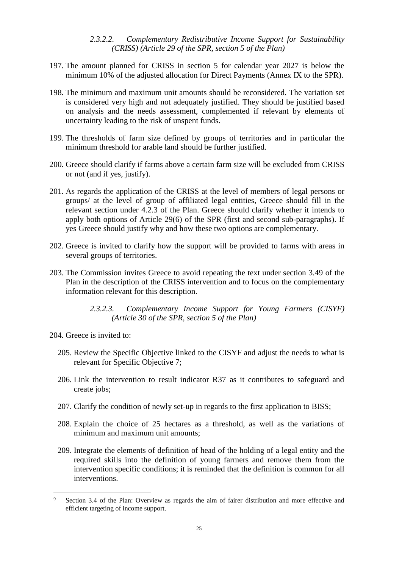### *2.3.2.2. Complementary Redistributive Income Support for Sustainability (CRISS) (Article 29 of the SPR, section 5 of the Plan)*

- 197. The amount planned for CRISS in section 5 for calendar year 2027 is below the minimum 10% of the adjusted allocation for Direct Payments (Annex IX to the SPR).
- 198. The minimum and maximum unit amounts should be reconsidered. The variation set is considered very high and not adequately justified. They should be justified based on analysis and the needs assessment, complemented if relevant by elements of uncertainty leading to the risk of unspent funds.
- 199. The thresholds of farm size defined by groups of territories and in particular the minimum threshold for arable land should be further justified.
- 200. Greece should clarify if farms above a certain farm size will be excluded from CRISS or not (and if yes, justify).
- 201. As regards the application of the CRISS at the level of members of legal persons or groups/ at the level of group of affiliated legal entities, Greece should fill in the relevant section under 4.2.3 of the Plan. Greece should clarify whether it intends to apply both options of Article 29(6) of the SPR (first and second sub-paragraphs). If yes Greece should justify why and how these two options are complementary.
- 202. Greece is invited to clarify how the support will be provided to farms with areas in several groups of territories.
- 203. The Commission invites Greece to avoid repeating the text under section 3.49 of the Plan in the description of the CRISS intervention and to focus on the complementary information relevant for this description.

204. Greece is invited to:

 $\overline{a}$ 

- 205. Review the Specific Objective linked to the CISYF and adjust the needs to what is relevant for Specific Objective 7;
- 206. Link the intervention to result indicator R37 as it contributes to safeguard and create jobs;
- 207. Clarify the condition of newly set-up in regards to the first application to BISS;
- 208. Explain the choice of 25 hectares as a threshold, as well as the variations of minimum and maximum unit amounts;
- 209. Integrate the elements of definition of head of the holding of a legal entity and the required skills into the definition of young farmers and remove them from the intervention specific conditions; it is reminded that the definition is common for all interventions.

*<sup>2.3.2.3.</sup> Complementary Income Support for Young Farmers (CISYF) (Article 30 of the SPR, section 5 of the Plan)*

<sup>9</sup> Section 3.4 of the Plan: Overview as regards the aim of fairer distribution and more effective and efficient targeting of income support.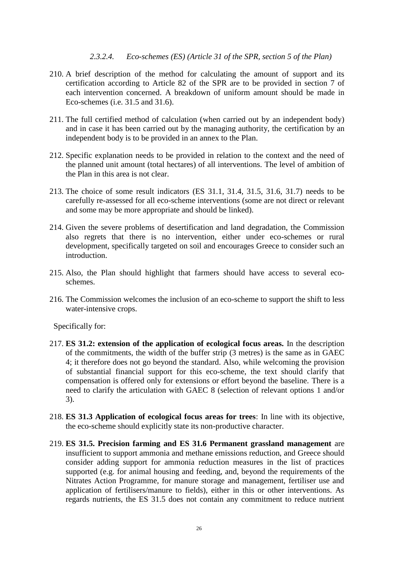## *2.3.2.4. Eco-schemes (ES) (Article 31 of the SPR, section 5 of the Plan)*

- 210. A brief description of the method for calculating the amount of support and its certification according to Article 82 of the SPR are to be provided in section 7 of each intervention concerned. A breakdown of uniform amount should be made in Eco-schemes (i.e. 31.5 and 31.6).
- 211. The full certified method of calculation (when carried out by an independent body) and in case it has been carried out by the managing authority, the certification by an independent body is to be provided in an annex to the Plan.
- 212. Specific explanation needs to be provided in relation to the context and the need of the planned unit amount (total hectares) of all interventions. The level of ambition of the Plan in this area is not clear.
- 213. The choice of some result indicators (ES 31.1, 31.4, 31.5, 31.6, 31.7) needs to be carefully re-assessed for all eco-scheme interventions (some are not direct or relevant and some may be more appropriate and should be linked).
- 214. Given the severe problems of desertification and land degradation, the Commission also regrets that there is no intervention, either under eco-schemes or rural development, specifically targeted on soil and encourages Greece to consider such an introduction.
- 215. Also, the Plan should highlight that farmers should have access to several ecoschemes.
- 216. The Commission welcomes the inclusion of an eco-scheme to support the shift to less water-intensive crops.

Specifically for:

- 217. **ES 31.2: extension of the application of ecological focus areas.** In the description of the commitments, the width of the buffer strip (3 metres) is the same as in GAEC 4; it therefore does not go beyond the standard. Also, while welcoming the provision of substantial financial support for this eco-scheme, the text should clarify that compensation is offered only for extensions or effort beyond the baseline. There is a need to clarify the articulation with GAEC 8 (selection of relevant options 1 and/or 3).
- 218. **ES 31.3 Application of ecological focus areas for trees**: In line with its objective, the eco-scheme should explicitly state its non-productive character.
- 219. **ES 31.5. Precision farming and ES 31.6 Permanent grassland management** are insufficient to support ammonia and methane emissions reduction, and Greece should consider adding support for ammonia reduction measures in the list of practices supported (e.g. for animal housing and feeding, and, beyond the requirements of the Nitrates Action Programme, for manure storage and management, fertiliser use and application of fertilisers/manure to fields), either in this or other interventions. As regards nutrients, the ES 31.5 does not contain any commitment to reduce nutrient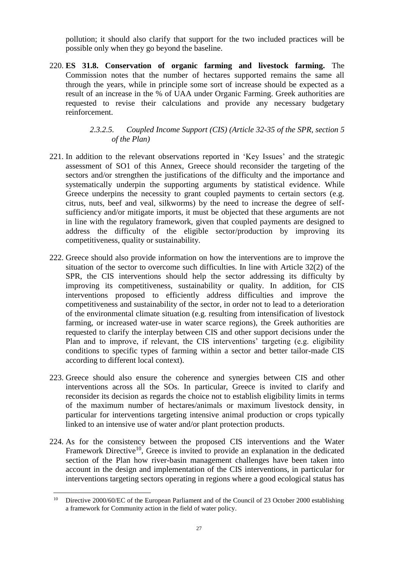pollution; it should also clarify that support for the two included practices will be possible only when they go beyond the baseline.

220. **ES 31.8. Conservation of organic farming and livestock farming.** The Commission notes that the number of hectares supported remains the same all through the years, while in principle some sort of increase should be expected as a result of an increase in the % of UAA under Organic Farming. Greek authorities are requested to revise their calculations and provide any necessary budgetary reinforcement.

## *2.3.2.5. Coupled Income Support (CIS) (Article 32-35 of the SPR, section 5 of the Plan)*

- 221. In addition to the relevant observations reported in 'Key Issues' and the strategic assessment of SO1 of this Annex, Greece should reconsider the targeting of the sectors and/or strengthen the justifications of the difficulty and the importance and systematically underpin the supporting arguments by statistical evidence. While Greece underpins the necessity to grant coupled payments to certain sectors (e.g. citrus, nuts, beef and veal, silkworms) by the need to increase the degree of selfsufficiency and/or mitigate imports, it must be objected that these arguments are not in line with the regulatory framework, given that coupled payments are designed to address the difficulty of the eligible sector/production by improving its competitiveness, quality or sustainability.
- 222. Greece should also provide information on how the interventions are to improve the situation of the sector to overcome such difficulties. In line with Article 32(2) of the SPR, the CIS interventions should help the sector addressing its difficulty by improving its competitiveness, sustainability or quality. In addition, for CIS interventions proposed to efficiently address difficulties and improve the competitiveness and sustainability of the sector, in order not to lead to a deterioration of the environmental climate situation (e.g. resulting from intensification of livestock farming, or increased water-use in water scarce regions), the Greek authorities are requested to clarify the interplay between CIS and other support decisions under the Plan and to improve, if relevant, the CIS interventions' targeting (e.g. eligibility conditions to specific types of farming within a sector and better tailor-made CIS according to different local context).
- 223. Greece should also ensure the coherence and synergies between CIS and other interventions across all the SOs. In particular, Greece is invited to clarify and reconsider its decision as regards the choice not to establish eligibility limits in terms of the maximum number of hectares/animals or maximum livestock density, in particular for interventions targeting intensive animal production or crops typically linked to an intensive use of water and/or plant protection products.
- 224. As for the consistency between the proposed CIS interventions and the Water Framework Directive<sup>10</sup>, Greece is invited to provide an explanation in the dedicated section of the Plan how river-basin management challenges have been taken into account in the design and implementation of the CIS interventions, in particular for interventions targeting sectors operating in regions where a good ecological status has

 $\overline{a}$ 

<sup>&</sup>lt;sup>10</sup> Directive 2000/60/EC of the European Parliament and of the Council of 23 October 2000 establishing a framework for Community action in the field of water policy.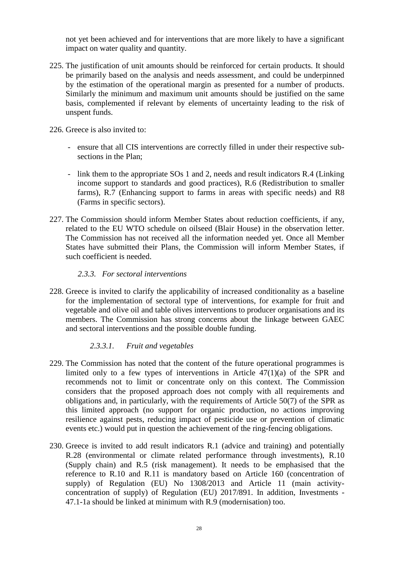not yet been achieved and for interventions that are more likely to have a significant impact on water quality and quantity.

- 225. The justification of unit amounts should be reinforced for certain products. It should be primarily based on the analysis and needs assessment, and could be underpinned by the estimation of the operational margin as presented for a number of products. Similarly the minimum and maximum unit amounts should be justified on the same basis, complemented if relevant by elements of uncertainty leading to the risk of unspent funds.
- 226. Greece is also invited to:
	- ensure that all CIS interventions are correctly filled in under their respective subsections in the Plan;
	- link them to the appropriate SOs 1 and 2, needs and result indicators R.4 (Linking income support to standards and good practices), R.6 (Redistribution to smaller farms), R.7 (Enhancing support to farms in areas with specific needs) and R8 (Farms in specific sectors).
- 227. The Commission should inform Member States about reduction coefficients, if any, related to the EU WTO schedule on oilseed (Blair House) in the observation letter. The Commission has not received all the information needed yet. Once all Member States have submitted their Plans, the Commission will inform Member States, if such coefficient is needed.

### *2.3.3. For sectoral interventions*

228. Greece is invited to clarify the applicability of increased conditionality as a baseline for the implementation of sectoral type of interventions, for example for fruit and vegetable and olive oil and table olives interventions to producer organisations and its members. The Commission has strong concerns about the linkage between GAEC and sectoral interventions and the possible double funding.

## *2.3.3.1. Fruit and vegetables*

- 229. The Commission has noted that the content of the future operational programmes is limited only to a few types of interventions in Article 47(1)(a) of the SPR and recommends not to limit or concentrate only on this context. The Commission considers that the proposed approach does not comply with all requirements and obligations and, in particularly, with the requirements of Article 50(7) of the SPR as this limited approach (no support for organic production, no actions improving resilience against pests, reducing impact of pesticide use or prevention of climatic events etc.) would put in question the achievement of the ring-fencing obligations.
- 230. Greece is invited to add result indicators R.1 (advice and training) and potentially R.28 (environmental or climate related performance through investments), R.10 (Supply chain) and R.5 (risk management). It needs to be emphasised that the reference to R.10 and R.11 is mandatory based on Article 160 (concentration of supply) of Regulation (EU) No 1308/2013 and Article 11 (main activityconcentration of supply) of Regulation (EU) 2017/891. In addition, Investments - 47.1-1a should be linked at minimum with R.9 (modernisation) too.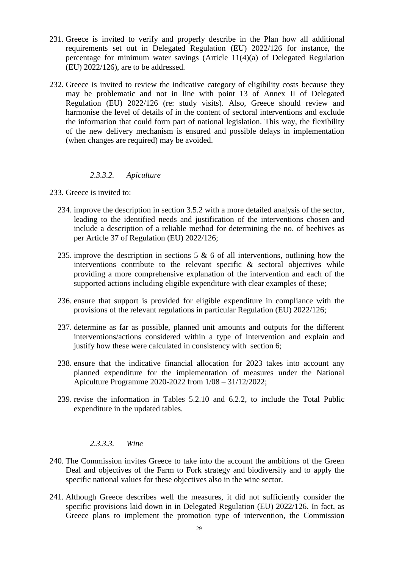- 231. Greece is invited to verify and properly describe in the Plan how all additional requirements set out in Delegated Regulation (EU) 2022/126 for instance, the percentage for minimum water savings (Article 11(4)(a) of Delegated Regulation (EU) 2022/126), are to be addressed.
- 232. Greece is invited to review the indicative category of eligibility costs because they may be problematic and not in line with point 13 of Annex II of Delegated Regulation (EU) 2022/126 (re: study visits). Also, Greece should review and harmonise the level of details of in the content of sectoral interventions and exclude the information that could form part of national legislation. This way, the flexibility of the new delivery mechanism is ensured and possible delays in implementation (when changes are required) may be avoided.

### *2.3.3.2. Apiculture*

- 233. Greece is invited to:
	- 234. improve the description in section 3.5.2 with a more detailed analysis of the sector, leading to the identified needs and justification of the interventions chosen and include a description of a reliable method for determining the no. of beehives as per Article 37 of Regulation (EU) 2022/126;
	- 235. improve the description in sections 5  $\&$  6 of all interventions, outlining how the interventions contribute to the relevant specific & sectoral objectives while providing a more comprehensive explanation of the intervention and each of the supported actions including eligible expenditure with clear examples of these;
	- 236. ensure that support is provided for eligible expenditure in compliance with the provisions of the relevant regulations in particular Regulation (EU) 2022/126;
	- 237. determine as far as possible, planned unit amounts and outputs for the different interventions/actions considered within a type of intervention and explain and justify how these were calculated in consistency with section 6;
	- 238. ensure that the indicative financial allocation for 2023 takes into account any planned expenditure for the implementation of measures under the National Apiculture Programme 2020-2022 from 1/08 – 31/12/2022;
	- 239. revise the information in Tables 5.2.10 and 6.2.2, to include the Total Public expenditure in the updated tables.

#### *2.3.3.3. Wine*

- 240. The Commission invites Greece to take into the account the ambitions of the Green Deal and objectives of the Farm to Fork strategy and biodiversity and to apply the specific national values for these objectives also in the wine sector.
- 241. Although Greece describes well the measures, it did not sufficiently consider the specific provisions laid down in in Delegated Regulation (EU) 2022/126. In fact, as Greece plans to implement the promotion type of intervention, the Commission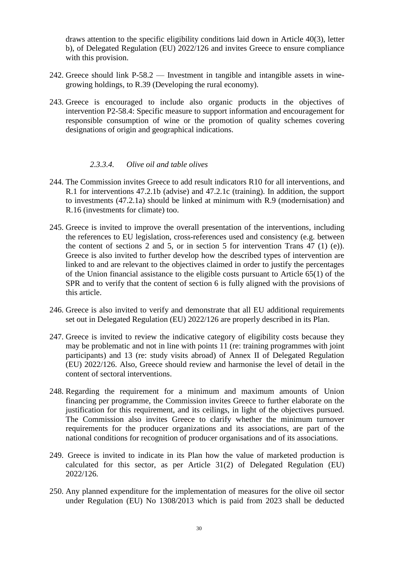draws attention to the specific eligibility conditions laid down in Article 40(3), letter b), of Delegated Regulation (EU) 2022/126 and invites Greece to ensure compliance with this provision.

- 242. Greece should link P-58.2 Investment in tangible and intangible assets in winegrowing holdings, to R.39 (Developing the rural economy).
- 243. Greece is encouraged to include also organic products in the objectives of intervention P2-58.4: Specific measure to support information and encouragement for responsible consumption of wine or the promotion of quality schemes covering designations of origin and geographical indications.

### *2.3.3.4. Olive oil and table olives*

- 244. The Commission invites Greece to add result indicators R10 for all interventions, and R.1 for interventions 47.2.1b (advise) and 47.2.1c (training). In addition, the support to investments (47.2.1a) should be linked at minimum with R.9 (modernisation) and R.16 (investments for climate) too.
- 245. Greece is invited to improve the overall presentation of the interventions, including the references to EU legislation, cross-references used and consistency (e.g. between the content of sections 2 and 5, or in section 5 for intervention Trans 47 (1) (e)). Greece is also invited to further develop how the described types of intervention are linked to and are relevant to the objectives claimed in order to justify the percentages of the Union financial assistance to the eligible costs pursuant to Article 65(1) of the SPR and to verify that the content of section 6 is fully aligned with the provisions of this article.
- 246. Greece is also invited to verify and demonstrate that all EU additional requirements set out in Delegated Regulation (EU) 2022/126 are properly described in its Plan.
- 247. Greece is invited to review the indicative category of eligibility costs because they may be problematic and not in line with points 11 (re: training programmes with joint participants) and 13 (re: study visits abroad) of Annex II of Delegated Regulation (EU) 2022/126. Also, Greece should review and harmonise the level of detail in the content of sectoral interventions.
- 248. Regarding the requirement for a minimum and maximum amounts of Union financing per programme, the Commission invites Greece to further elaborate on the justification for this requirement, and its ceilings, in light of the objectives pursued. The Commission also invites Greece to clarify whether the minimum turnover requirements for the producer organizations and its associations, are part of the national conditions for recognition of producer organisations and of its associations.
- 249. Greece is invited to indicate in its Plan how the value of marketed production is calculated for this sector, as per Article 31(2) of Delegated Regulation (EU) 2022/126.
- 250. Any planned expenditure for the implementation of measures for the olive oil sector under Regulation (EU) No 1308/2013 which is paid from 2023 shall be deducted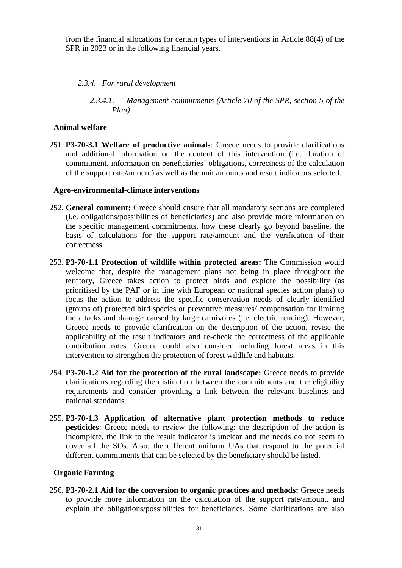from the financial allocations for certain types of interventions in Article 88(4) of the SPR in 2023 or in the following financial years.

## *2.3.4. For rural development*

*2.3.4.1. Management commitments (Article 70 of the SPR, section 5 of the Plan)*

## **Animal welfare**

251. **P3-70-3.1 Welfare of productive animals**: Greece needs to provide clarifications and additional information on the content of this intervention (i.e. duration of commitment, information on beneficiaries' obligations, correctness of the calculation of the support rate/amount) as well as the unit amounts and result indicators selected.

### **Agro-environmental-climate interventions**

- 252. **General comment:** Greece should ensure that all mandatory sections are completed (i.e. obligations/possibilities of beneficiaries) and also provide more information on the specific management commitments, how these clearly go beyond baseline, the basis of calculations for the support rate/amount and the verification of their correctness.
- 253. **P3-70-1.1 Protection of wildlife within protected areas:** The Commission would welcome that, despite the management plans not being in place throughout the territory, Greece takes action to protect birds and explore the possibility (as prioritised by the PAF or in line with European or national species action plans) to focus the action to address the specific conservation needs of clearly identified (groups of) protected bird species or preventive measures/ compensation for limiting the attacks and damage caused by large carnivores (i.e. electric fencing). However, Greece needs to provide clarification on the description of the action, revise the applicability of the result indicators and re-check the correctness of the applicable contribution rates. Greece could also consider including forest areas in this intervention to strengthen the protection of forest wildlife and habitats.
- 254. **P3-70-1.2 Aid for the protection of the rural landscape:** Greece needs to provide clarifications regarding the distinction between the commitments and the eligibility requirements and consider providing a link between the relevant baselines and national standards.
- 255. **P3-70-1.3 Application of alternative plant protection methods to reduce pesticides**: Greece needs to review the following: the description of the action is incomplete, the link to the result indicator is unclear and the needs do not seem to cover all the SOs. Also, the different uniform UAs that respond to the potential different commitments that can be selected by the beneficiary should be listed.

## **Organic Farming**

256. **P3-70-2.1 Aid for the conversion to organic practices and methods:** Greece needs to provide more information on the calculation of the support rate/amount, and explain the obligations/possibilities for beneficiaries. Some clarifications are also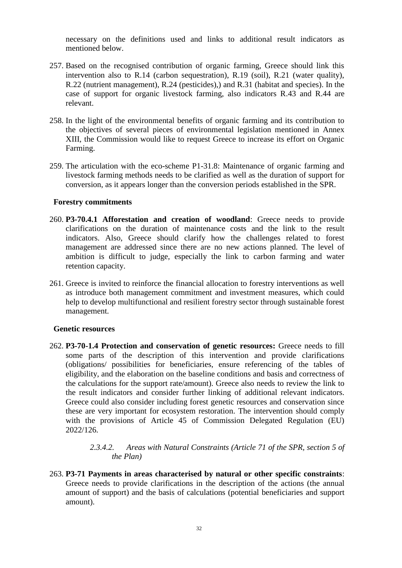necessary on the definitions used and links to additional result indicators as mentioned below.

- 257. Based on the recognised contribution of organic farming, Greece should link this intervention also to R.14 (carbon sequestration), R.19 (soil), R.21 (water quality), R.22 (nutrient management), R.24 (pesticides),) and R.31 (habitat and species). In the case of support for organic livestock farming, also indicators R.43 and R.44 are relevant.
- 258. In the light of the environmental benefits of organic farming and its contribution to the objectives of several pieces of environmental legislation mentioned in Annex XIII, the Commission would like to request Greece to increase its effort on Organic Farming.
- 259. The articulation with the eco-scheme P1-31.8: Maintenance of organic farming and livestock farming methods needs to be clarified as well as the duration of support for conversion, as it appears longer than the conversion periods established in the SPR.

### **Forestry commitments**

- 260. **P3-70.4.1 Afforestation and creation of woodland**: Greece needs to provide clarifications on the duration of maintenance costs and the link to the result indicators. Also, Greece should clarify how the challenges related to forest management are addressed since there are no new actions planned. The level of ambition is difficult to judge, especially the link to carbon farming and water retention capacity.
- 261. Greece is invited to reinforce the financial allocation to forestry interventions as well as introduce both management commitment and investment measures, which could help to develop multifunctional and resilient forestry sector through sustainable forest management.

#### **Genetic resources**

262. **P3-70-1.4 Protection and conservation of genetic resources:** Greece needs to fill some parts of the description of this intervention and provide clarifications (obligations/ possibilities for beneficiaries, ensure referencing of the tables of eligibility, and the elaboration on the baseline conditions and basis and correctness of the calculations for the support rate/amount). Greece also needs to review the link to the result indicators and consider further linking of additional relevant indicators. Greece could also consider including forest genetic resources and conservation since these are very important for ecosystem restoration. The intervention should comply with the provisions of Article 45 of Commission Delegated Regulation (EU) 2022/126.

# *2.3.4.2. Areas with Natural Constraints (Article 71 of the SPR, section 5 of the Plan)*

263. **P3-71 Payments in areas characterised by natural or other specific constraints**: Greece needs to provide clarifications in the description of the actions (the annual amount of support) and the basis of calculations (potential beneficiaries and support amount).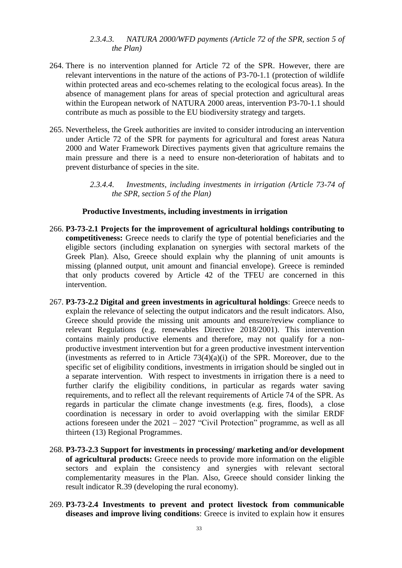## *2.3.4.3. NATURA 2000/WFD payments (Article 72 of the SPR, section 5 of the Plan)*

- 264. There is no intervention planned for Article 72 of the SPR. However, there are relevant interventions in the nature of the actions of P3-70-1.1 (protection of wildlife within protected areas and eco-schemes relating to the ecological focus areas). In the absence of management plans for areas of special protection and agricultural areas within the European network of NATURA 2000 areas, intervention P3-70-1.1 should contribute as much as possible to the EU biodiversity strategy and targets.
- 265. Nevertheless, the Greek authorities are invited to consider introducing an intervention under Article 72 of the SPR for payments for agricultural and forest areas Natura 2000 and Water Framework Directives payments given that agriculture remains the main pressure and there is a need to ensure non-deterioration of habitats and to prevent disturbance of species in the site.

*2.3.4.4. Investments, including investments in irrigation (Article 73-74 of the SPR, section 5 of the Plan)*

## **Productive Investments, including investments in irrigation**

- 266. **P3-73-2.1 Projects for the improvement of agricultural holdings contributing to competitiveness:** Greece needs to clarify the type of potential beneficiaries and the eligible sectors (including explanation on synergies with sectoral markets of the Greek Plan). Also, Greece should explain why the planning of unit amounts is missing (planned output, unit amount and financial envelope). Greece is reminded that only products covered by Article 42 of the TFEU are concerned in this intervention.
- 267. **P3-73-2.2 Digital and green investments in agricultural holdings**: Greece needs to explain the relevance of selecting the output indicators and the result indicators. Also, Greece should provide the missing unit amounts and ensure/review compliance to relevant Regulations (e.g. renewables Directive 2018/2001). This intervention contains mainly productive elements and therefore, may not qualify for a nonproductive investment intervention but for a green productive investment intervention (investments as referred to in Article  $73(4)(a)(i)$  of the SPR. Moreover, due to the specific set of eligibility conditions, investments in irrigation should be singled out in a separate intervention. With respect to investments in irrigation there is a need to further clarify the eligibility conditions, in particular as regards water saving requirements, and to reflect all the relevant requirements of Article 74 of the SPR. As regards in particular the climate change investments (e.g. fires, floods), a close coordination is necessary in order to avoid overlapping with the similar ERDF actions foreseen under the 2021 – 2027 "Civil Protection" programme, as well as all thirteen (13) Regional Programmes.
- 268. **P3-73-2.3 Support for investments in processing/ marketing and/or development of agricultural products:** Greece needs to provide more information on the eligible sectors and explain the consistency and synergies with relevant sectoral complementarity measures in the Plan. Also, Greece should consider linking the result indicator R.39 (developing the rural economy).
- 269. **P3-73-2.4 Investments to prevent and protect livestock from communicable diseases and improve living conditions**: Greece is invited to explain how it ensures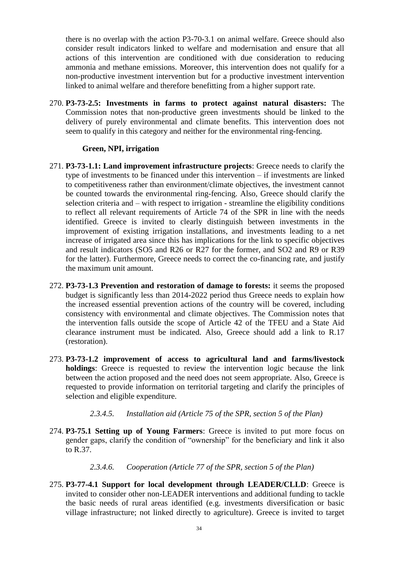there is no overlap with the action P3-70-3.1 on animal welfare. Greece should also consider result indicators linked to welfare and modernisation and ensure that all actions of this intervention are conditioned with due consideration to reducing ammonia and methane emissions. Moreover, this intervention does not qualify for a non-productive investment intervention but for a productive investment intervention linked to animal welfare and therefore benefitting from a higher support rate.

270. **P3-73-2.5: Investments in farms to protect against natural disasters:** The Commission notes that non-productive green investments should be linked to the delivery of purely environmental and climate benefits. This intervention does not seem to qualify in this category and neither for the environmental ring-fencing.

### **Green, NPI, irrigation**

- 271. **P3-73-1.1: Land improvement infrastructure projects**: Greece needs to clarify the type of investments to be financed under this intervention – if investments are linked to competitiveness rather than environment/climate objectives, the investment cannot be counted towards the environmental ring-fencing. Also, Greece should clarify the selection criteria and – with respect to irrigation - streamline the eligibility conditions to reflect all relevant requirements of Article 74 of the SPR in line with the needs identified. Greece is invited to clearly distinguish between investments in the improvement of existing irrigation installations, and investments leading to a net increase of irrigated area since this has implications for the link to specific objectives and result indicators (SO5 and R26 or R27 for the former, and SO2 and R9 or R39 for the latter). Furthermore, Greece needs to correct the co-financing rate, and justify the maximum unit amount.
- 272. **P3-73-1.3 Prevention and restoration of damage to forests:** it seems the proposed budget is significantly less than 2014-2022 period thus Greece needs to explain how the increased essential prevention actions of the country will be covered, including consistency with environmental and climate objectives. The Commission notes that the intervention falls outside the scope of Article 42 of the TFEU and a State Aid clearance instrument must be indicated. Also, Greece should add a link to R.17 (restoration).
- 273. **P3-73-1.2 improvement of access to agricultural land and farms/livestock holdings**: Greece is requested to review the intervention logic because the link between the action proposed and the need does not seem appropriate. Also, Greece is requested to provide information on territorial targeting and clarify the principles of selection and eligible expenditure.
	- *2.3.4.5. Installation aid (Article 75 of the SPR, section 5 of the Plan)*
- 274. **P3-75.1 Setting up of Young Farmers**: Greece is invited to put more focus on gender gaps, clarify the condition of "ownership" for the beneficiary and link it also to R.37.

#### *2.3.4.6. Cooperation (Article 77 of the SPR, section 5 of the Plan)*

275. **P3-77-4.1 Support for local development through LEADER/CLLD**: Greece is invited to consider other non-LEADER interventions and additional funding to tackle the basic needs of rural areas identified (e.g. investments diversification or basic village infrastructure; not linked directly to agriculture). Greece is invited to target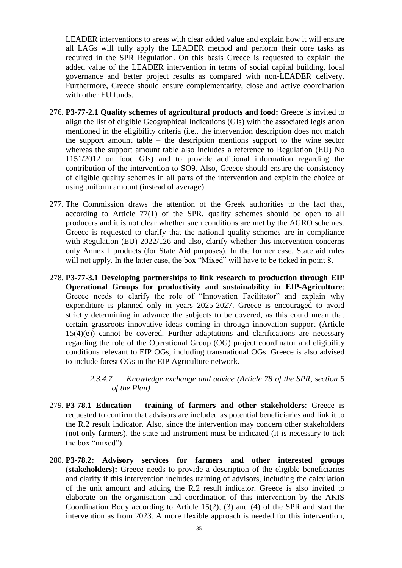LEADER interventions to areas with clear added value and explain how it will ensure all LAGs will fully apply the LEADER method and perform their core tasks as required in the SPR Regulation. On this basis Greece is requested to explain the added value of the LEADER intervention in terms of social capital building, local governance and better project results as compared with non-LEADER delivery. Furthermore, Greece should ensure complementarity, close and active coordination with other EU funds.

- 276. **P3-77-2.1 Quality schemes of agricultural products and food:** Greece is invited to align the list of eligible Geographical Indications (GIs) with the associated legislation mentioned in the eligibility criteria (i.e., the intervention description does not match the support amount table – the description mentions support to the wine sector whereas the support amount table also includes a reference to Regulation (EU) No 1151/2012 on food GIs) and to provide additional information regarding the contribution of the intervention to SO9. Also, Greece should ensure the consistency of eligible quality schemes in all parts of the intervention and explain the choice of using uniform amount (instead of average).
- 277. The Commission draws the attention of the Greek authorities to the fact that, according to Article 77(1) of the SPR, quality schemes should be open to all producers and it is not clear whether such conditions are met by the AGRO schemes. Greece is requested to clarify that the national quality schemes are in compliance with Regulation (EU) 2022/126 and also, clarify whether this intervention concerns only Annex I products (for State Aid purposes). In the former case, State aid rules will not apply. In the latter case, the box "Mixed" will have to be ticked in point 8.
- 278. **P3-77-3.1 Developing partnerships to link research to production through EIP Operational Groups for productivity and sustainability in EIP-Agriculture**: Greece needs to clarify the role of "Innovation Facilitator" and explain why expenditure is planned only in years 2025-2027. Greece is encouraged to avoid strictly determining in advance the subjects to be covered, as this could mean that certain grassroots innovative ideas coming in through innovation support (Article 15(4)(e)) cannot be covered. Further adaptations and clarifications are necessary regarding the role of the Operational Group (OG) project coordinator and eligibility conditions relevant to EIP OGs, including transnational OGs. Greece is also advised to include forest OGs in the EIP Agriculture network.
	- *2.3.4.7. Knowledge exchange and advice (Article 78 of the SPR, section 5 of the Plan)*
- 279. **P3-78.1 Education – training of farmers and other stakeholders**: Greece is requested to confirm that advisors are included as potential beneficiaries and link it to the R.2 result indicator. Also, since the intervention may concern other stakeholders (not only farmers), the state aid instrument must be indicated (it is necessary to tick the box "mixed").
- 280. **P3-78.2: Advisory services for farmers and other interested groups (stakeholders):** Greece needs to provide a description of the eligible beneficiaries and clarify if this intervention includes training of advisors, including the calculation of the unit amount and adding the R.2 result indicator. Greece is also invited to elaborate on the organisation and coordination of this intervention by the AKIS Coordination Body according to Article 15(2), (3) and (4) of the SPR and start the intervention as from 2023. A more flexible approach is needed for this intervention,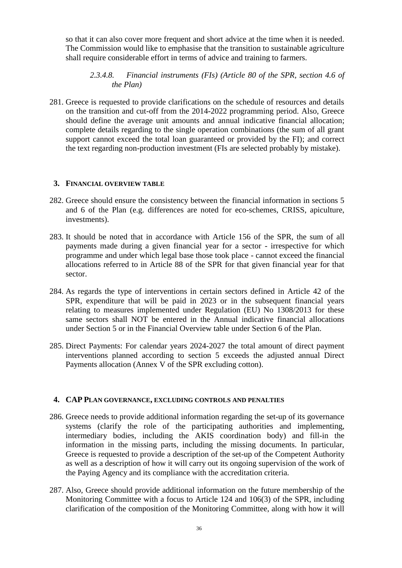so that it can also cover more frequent and short advice at the time when it is needed. The Commission would like to emphasise that the transition to sustainable agriculture shall require considerable effort in terms of advice and training to farmers.

## *2.3.4.8. Financial instruments (FIs) (Article 80 of the SPR, section 4.6 of the Plan)*

281. Greece is requested to provide clarifications on the schedule of resources and details on the transition and cut-off from the 2014-2022 programming period. Also, Greece should define the average unit amounts and annual indicative financial allocation; complete details regarding to the single operation combinations (the sum of all grant support cannot exceed the total loan guaranteed or provided by the FI); and correct the text regarding non-production investment (FIs are selected probably by mistake).

### **3. FINANCIAL OVERVIEW TABLE**

- 282. Greece should ensure the consistency between the financial information in sections 5 and 6 of the Plan (e.g. differences are noted for eco-schemes, CRISS, apiculture, investments).
- 283. It should be noted that in accordance with Article 156 of the SPR, the sum of all payments made during a given financial year for a sector - irrespective for which programme and under which legal base those took place - cannot exceed the financial allocations referred to in Article 88 of the SPR for that given financial year for that sector.
- 284. As regards the type of interventions in certain sectors defined in Article 42 of the SPR, expenditure that will be paid in 2023 or in the subsequent financial years relating to measures implemented under Regulation (EU) No 1308/2013 for these same sectors shall NOT be entered in the Annual indicative financial allocations under Section 5 or in the Financial Overview table under Section 6 of the Plan.
- 285. Direct Payments: For calendar years 2024-2027 the total amount of direct payment interventions planned according to section 5 exceeds the adjusted annual Direct Payments allocation (Annex V of the SPR excluding cotton).

## **4. CAP PLAN GOVERNANCE, EXCLUDING CONTROLS AND PENALTIES**

- 286. Greece needs to provide additional information regarding the set-up of its governance systems (clarify the role of the participating authorities and implementing, intermediary bodies, including the AKIS coordination body) and fill-in the information in the missing parts, including the missing documents. In particular, Greece is requested to provide a description of the set-up of the Competent Authority as well as a description of how it will carry out its ongoing supervision of the work of the Paying Agency and its compliance with the accreditation criteria.
- 287. Also, Greece should provide additional information on the future membership of the Monitoring Committee with a focus to Article 124 and 106(3) of the SPR, including clarification of the composition of the Monitoring Committee, along with how it will